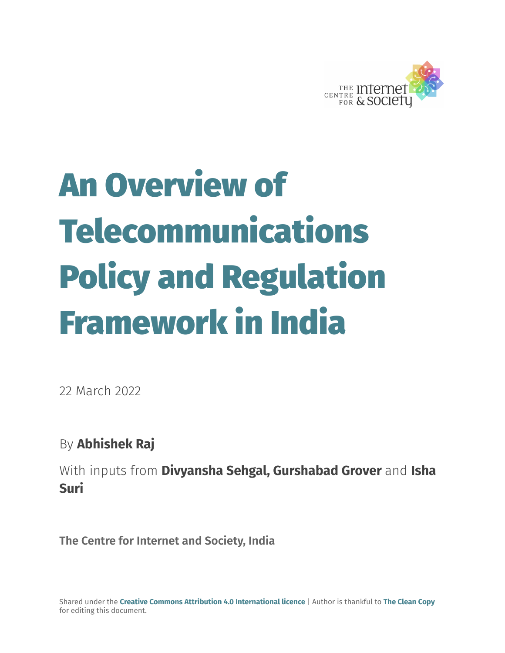

# An Overview of Telecommunications Policy and Regulation Framework in India

22 March 2022

By **Abhishek Raj**

With inputs from **Divyansha Sehgal, Gurshabad Grover** and **Isha Suri**

**The Centre for Internet and Society, India**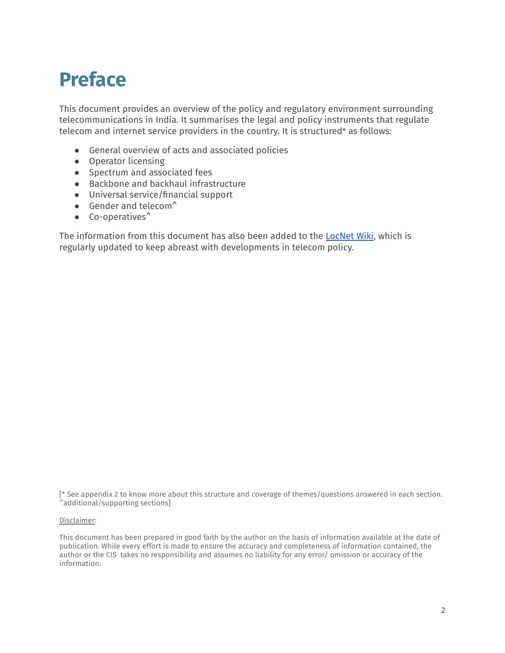# <span id="page-1-0"></span>**Preface**

This document provides an overview of the policy and regulatory environment surrounding telecommunications in India. It summarises the legal and policy instruments that regulate telecom and internet service providers in the country. It is structured\* as follows:

- General overview of acts and associated policies
- Operator licensing
- Spectrum and associated fees
- Backbone and backhaul infrastructure
- Universal service/financial support
- $\bullet$  Gender and telecom<sup> $\uparrow$ </sup>
- Co-operatives^

The information from this document has also been added to the [LocNet](https://policy.communitynetworks.group/country-profiles/start) Wiki, which is regularly updated to keep abreast with developments in telecom policy.

[\* See [appendix](#page-43-0) 2 to know more about this structure and coverage of themes/questions answered in each section. ^additional/supporting sections]

#### Disclaimer:

This document has been prepared in good faith by the author on the basis of information available at the date of publication. While every effort is made to ensure the accuracy and completeness of information contained, the author or the CIS takes no responsibility and assumes no liability for any error/ omission or accuracy of the information.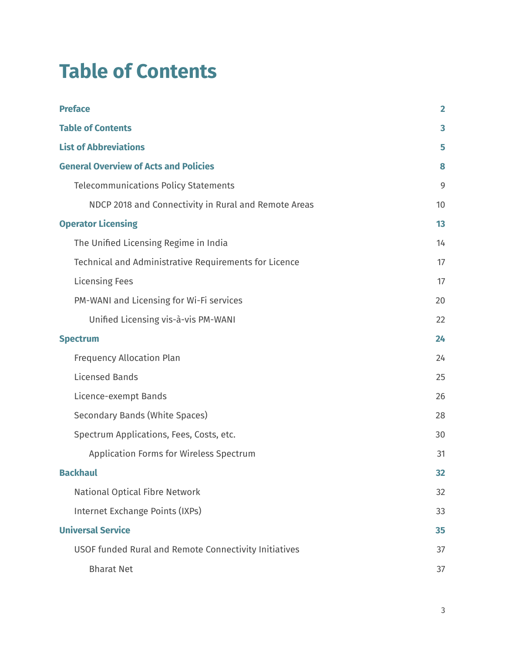# <span id="page-2-0"></span>**Table of Contents**

| <b>Preface</b>                                        | $\overline{2}$ |
|-------------------------------------------------------|----------------|
| <b>Table of Contents</b>                              | 3              |
| <b>List of Abbreviations</b>                          | 5              |
| <b>General Overview of Acts and Policies</b>          | 8              |
| <b>Telecommunications Policy Statements</b>           | 9              |
| NDCP 2018 and Connectivity in Rural and Remote Areas  | 10             |
| <b>Operator Licensing</b>                             | 13             |
| The Unified Licensing Regime in India                 | 14             |
| Technical and Administrative Requirements for Licence | 17             |
| <b>Licensing Fees</b>                                 | 17             |
| PM-WANI and Licensing for Wi-Fi services              | 20             |
| Unified Licensing vis-à-vis PM-WANI                   | 22             |
| <b>Spectrum</b>                                       | 24             |
| <b>Frequency Allocation Plan</b>                      | 24             |
| <b>Licensed Bands</b>                                 | 25             |
| Licence-exempt Bands                                  | 26             |
| Secondary Bands (White Spaces)                        | 28             |
| Spectrum Applications, Fees, Costs, etc.              | 30             |
| <b>Application Forms for Wireless Spectrum</b>        | 31             |
| <b>Backhaul</b>                                       | 32             |
| National Optical Fibre Network                        | 32             |
| Internet Exchange Points (IXPs)                       | 33             |
| <b>Universal Service</b>                              | 35             |
| USOF funded Rural and Remote Connectivity Initiatives | 37             |
| <b>Bharat Net</b>                                     | 37             |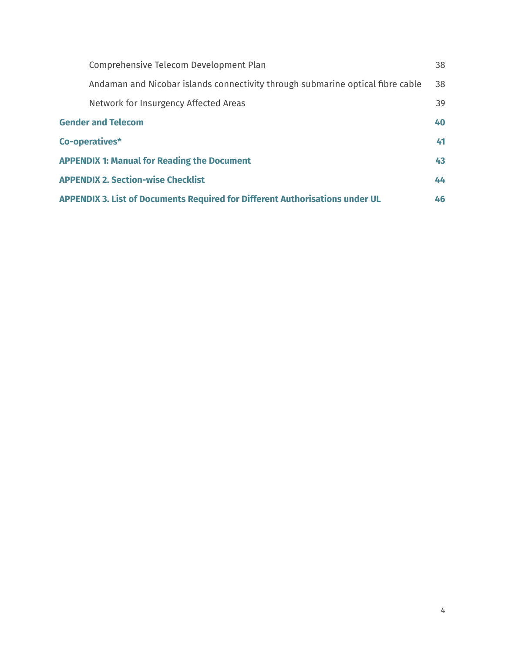| Comprehensive Telecom Development Plan                                              | 38 |
|-------------------------------------------------------------------------------------|----|
| Andaman and Nicobar islands connectivity through submarine optical fibre cable      | 38 |
| Network for Insurgency Affected Areas                                               | 39 |
| <b>Gender and Telecom</b>                                                           | 40 |
| Co-operatives*                                                                      | 41 |
| <b>APPENDIX 1: Manual for Reading the Document</b>                                  | 43 |
| <b>APPENDIX 2. Section-wise Checklist</b>                                           | 44 |
| <b>APPENDIX 3. List of Documents Required for Different Authorisations under UL</b> | 46 |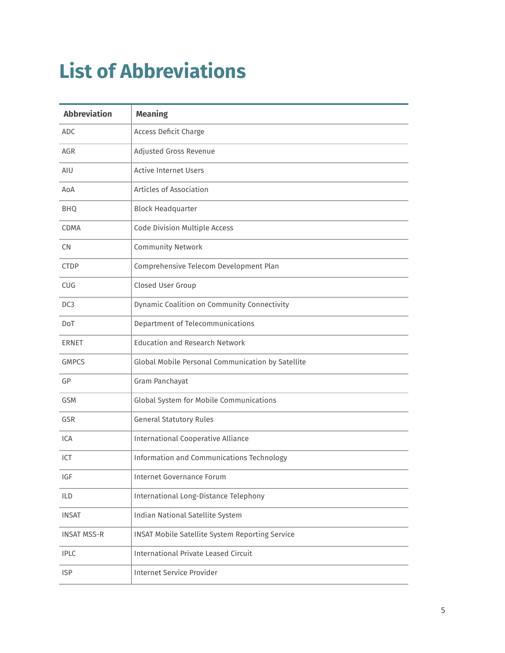# <span id="page-4-0"></span>**List of Abbreviations**

| <b>Abbreviation</b> | <b>Meaning</b>                                    |
|---------------------|---------------------------------------------------|
| <b>ADC</b>          | Access Deficit Charge                             |
| AGR                 | Adjusted Gross Revenue                            |
| AIU                 | <b>Active Internet Users</b>                      |
| AoA                 | Articles of Association                           |
| <b>BHQ</b>          | <b>Block Headquarter</b>                          |
| <b>CDMA</b>         | Code Division Multiple Access                     |
| <b>CN</b>           | <b>Community Network</b>                          |
| <b>CTDP</b>         | Comprehensive Telecom Development Plan            |
| <b>CUG</b>          | Closed User Group                                 |
| DC <sub>3</sub>     | Dynamic Coalition on Community Connectivity       |
| DoT                 | Department of Telecommunications                  |
| ERNET               | <b>Education and Research Network</b>             |
| <b>GMPCS</b>        | Global Mobile Personal Communication by Satellite |
| GP                  | Gram Panchayat                                    |
| <b>GSM</b>          | Global System for Mobile Communications           |
| <b>GSR</b>          | <b>General Statutory Rules</b>                    |
| ICA                 | <b>International Cooperative Alliance</b>         |
| ICT                 | Information and Communications Technology         |
| IGF                 | Internet Governance Forum                         |
| <b>ILD</b>          | International Long-Distance Telephony             |
| <b>INSAT</b>        | Indian National Satellite System                  |
| <b>INSAT MSS-R</b>  | INSAT Mobile Satellite System Reporting Service   |
| <b>IPLC</b>         | <b>International Private Leased Circuit</b>       |
| <b>ISP</b>          | <b>Internet Service Provider</b>                  |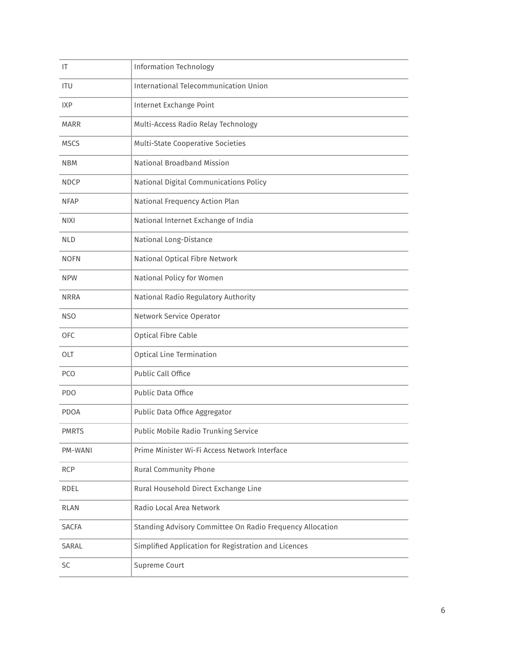| IT           | <b>Information Technology</b>                             |
|--------------|-----------------------------------------------------------|
| <b>ITU</b>   | International Telecommunication Union                     |
| <b>IXP</b>   | Internet Exchange Point                                   |
| <b>MARR</b>  | Multi-Access Radio Relay Technology                       |
| <b>MSCS</b>  | <b>Multi-State Cooperative Societies</b>                  |
| <b>NBM</b>   | National Broadband Mission                                |
| <b>NDCP</b>  | National Digital Communications Policy                    |
| <b>NFAP</b>  | National Frequency Action Plan                            |
| <b>NIXI</b>  | National Internet Exchange of India                       |
| <b>NLD</b>   | National Long-Distance                                    |
| <b>NOFN</b>  | National Optical Fibre Network                            |
| <b>NPW</b>   | National Policy for Women                                 |
| <b>NRRA</b>  | National Radio Regulatory Authority                       |
| <b>NSO</b>   | Network Service Operator                                  |
| <b>OFC</b>   | Optical Fibre Cable                                       |
| <b>OLT</b>   | <b>Optical Line Termination</b>                           |
| <b>PCO</b>   | Public Call Office                                        |
| PDO          | Public Data Office                                        |
| <b>PDOA</b>  | Public Data Office Aggregator                             |
| <b>PMRTS</b> | Public Mobile Radio Trunking Service                      |
| PM-WANI      | Prime Minister Wi-Fi Access Network Interface             |
| <b>RCP</b>   | Rural Community Phone                                     |
| RDEL         | Rural Household Direct Exchange Line                      |
| <b>RLAN</b>  | Radio Local Area Network                                  |
| <b>SACFA</b> | Standing Advisory Committee On Radio Frequency Allocation |
| SARAL        | Simplified Application for Registration and Licences      |
| <b>SC</b>    | Supreme Court                                             |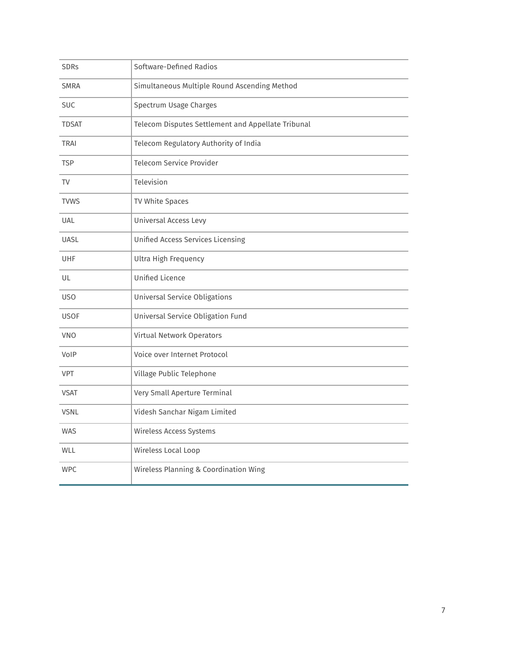| <b>SDRs</b>  | Software-Defined Radios                            |
|--------------|----------------------------------------------------|
| <b>SMRA</b>  | Simultaneous Multiple Round Ascending Method       |
| <b>SUC</b>   | Spectrum Usage Charges                             |
| <b>TDSAT</b> | Telecom Disputes Settlement and Appellate Tribunal |
| <b>TRAI</b>  | Telecom Regulatory Authority of India              |
| <b>TSP</b>   | <b>Telecom Service Provider</b>                    |
| TV           | Television                                         |
| <b>TVWS</b>  | TV White Spaces                                    |
| <b>UAL</b>   | Universal Access Levy                              |
| <b>UASL</b>  | <b>Unified Access Services Licensing</b>           |
| UHF          | Ultra High Frequency                               |
| UL           | <b>Unified Licence</b>                             |
| <b>USO</b>   | <b>Universal Service Obligations</b>               |
| <b>USOF</b>  | Universal Service Obligation Fund                  |
| VNO          | Virtual Network Operators                          |
| VoIP         | Voice over Internet Protocol                       |
| <b>VPT</b>   | Village Public Telephone                           |
| <b>VSAT</b>  | Very Small Aperture Terminal                       |
| <b>VSNL</b>  | Videsh Sanchar Nigam Limited                       |
| <b>WAS</b>   | Wireless Access Systems                            |
| WLL          | Wireless Local Loop                                |
| <b>WPC</b>   | Wireless Planning & Coordination Wing              |
|              |                                                    |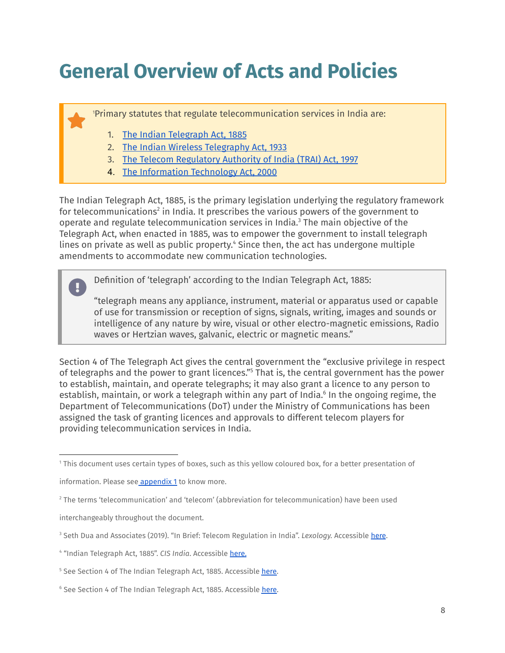# <span id="page-7-0"></span>**General Overview of Acts and Policies**

Primary statutes that regulate telecommunication services in India are: 1

- 1. The Indian [Telegraph](https://dot.gov.in/sites/default/files/Indian%20Telegraph%20Act%201885.pdf?) Act, 1885
- 2. The Indian Wireless [Telegraphy](https://dot.gov.in/act-rules-content/2419) Act, 1933
- 3. The Telecom [Regulatory](https://dot.gov.in/sites/default/files/2019%2011%2026%20TRAI%20ACT%20%28Latest%29.pdf?download=1) Authority of India (TRAI) Act, 1997
- 4. The [Information](https://legislative.gov.in/sites/default/files/A2000-21_0.pdf) Technology Act, 2000

The Indian Telegraph Act, 1885, is the primary legislation underlying the regulatory framework for telecommunications $2$  in India. It prescribes the various powers of the government to operate and regulate telecommunication services in India. $<sup>3</sup>$  The main objective of the</sup> Telegraph Act, when enacted in 1885, was to empower the government to install telegraph lines on private as well as public property.<sup>4</sup> Since then, the act has undergone multiple amendments to accommodate new communication technologies.

Definition of 'telegraph' according to the Indian Telegraph Act, 1885:

"telegraph means any appliance, instrument, material or apparatus used or capable of use for transmission or reception of signs, signals, writing, images and sounds or intelligence of any nature by wire, visual or other electro-magnetic emissions, Radio waves or Hertzian waves, galvanic, electric or magnetic means."

Section 4 of The Telegraph Act gives the central government the "exclusive privilege in respect of telegraphs and the power to grant licences."<sup>5</sup> That is, the central government has the power to establish, maintain, and operate telegraphs; it may also grant a licence to any person to establish, maintain, or work a telegraph within any part of India.<sup>6</sup> In the ongoing regime, the Department of Telecommunications (DoT) under the Ministry of Communications has been assigned the task of granting licences and approvals to different telecom players for providing telecommunication services in India.

<sup>1</sup> This document uses certain types of boxes, such as this yellow coloured box, for a better presentation of

information. Please see [appendix](#page-42-0) 1 to know more.

<sup>2</sup> The terms 'telecommunication' and 'telecom' (abbreviation for telecommunication) have been used

interchangeably throughout the document.

<sup>3</sup> Seth Dua and Associates (2019). "In Brief: Telecom Regulation in India". *Lexology.* Accessible [here](https://www.lexology.com/library/detail.aspx?g=45ac7f16-f40c-42ea-b3df-dfe6e357e2c0).

<sup>4</sup> "Indian Telegraph Act, 1885". *CIS India*. Accessible [here](https://cis-india.org/telecom/resources/indian-telegraph-act).

<sup>&</sup>lt;sup>5</sup> See Section 4 of The Indian Telegraph Act, 1885. Accessible [here.](https://dot.gov.in/sites/default/files/Indian%20Telegraph%20Act%201885.pdf?%20download=1)

<sup>&</sup>lt;sup>6</sup> See Section 4 of The Indian Telegraph Act, 1885. Accessible [here.](https://dot.gov.in/sites/default/files/Indian%20Telegraph%20Act%201885.pdf?%20download=1)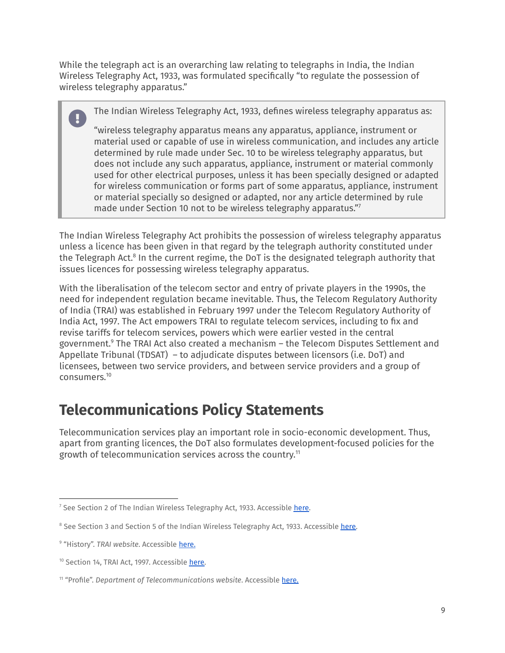While the telegraph act is an overarching law relating to telegraphs in India, the Indian Wireless Telegraphy Act, 1933, was formulated specifically "to regulate the possession of wireless telegraphy apparatus."

The Indian Wireless Telegraphy Act, 1933, defines wireless telegraphy apparatus as:

"wireless telegraphy apparatus means any apparatus, appliance, instrument or material used or capable of use in wireless communication, and includes any article determined by rule made under Sec. 10 to be wireless telegraphy apparatus, but does not include any such apparatus, appliance, instrument or material commonly used for other electrical purposes, unless it has been specially designed or adapted for wireless communication or forms part of some apparatus, appliance, instrument or material specially so designed or adapted, nor any article determined by rule made under Section 10 not to be wireless telegraphy apparatus." 7

The Indian Wireless Telegraphy Act prohibits the possession of wireless telegraphy apparatus unless a licence has been given in that regard by the telegraph authority constituted under the Telegraph Act.<sup>8</sup> In the current regime, the DoT is the designated telegraph authority that issues licences for possessing wireless telegraphy apparatus.

With the liberalisation of the telecom sector and entry of private players in the 1990s, the need for independent regulation became inevitable. Thus, the Telecom Regulatory Authority of India (TRAI) was established in February 1997 under the Telecom Regulatory Authority of India Act, 1997. The Act empowers TRAI to regulate telecom services, including to fix and revise tariffs for telecom services, powers which were earlier vested in the central government.<sup>9</sup> The TRAI Act also created a mechanism – the Telecom Disputes Settlement and Appellate Tribunal (TDSAT) – to adjudicate disputes between licensors (i.e. DoT) and licensees, between two service providers, and between service providers and a group of consumers. 10

### <span id="page-8-0"></span>**Telecommunications Policy Statements**

Telecommunication services play an important role in socio-economic development. Thus, apart from granting licences, the DoT also formulates development-focused policies for the growth of telecommunication services across the country. 11

<sup>&</sup>lt;sup>7</sup> See Section 2 of The Indian Wireless Telegraphy Act, 1933. Accessible [here.](https://dot.gov.in/act-rules-content/2419)

<sup>&</sup>lt;sup>8</sup> See Section 3 and Section 5 of the Indian Wireless Telegraphy Act, 1933. Accessible [here.](https://dot.gov.in/act-rules-content/2419)

<sup>&</sup>lt;sup>9</sup> "History". TRAI website. Accessible [here](https://trai.gov.in/about-us/history).

<sup>&</sup>lt;sup>10</sup> Section 14, TRAI Act, 1997. Accessible [here.](https://dot.gov.in/sites/default/files/2019%2011%2026%20TRAI%20ACT%20%28Latest%29.pdf?download=1)

<sup>11</sup> "Profile". *Department of Telecommunications website*. Accessible [here.](https://dot.gov.in/profile)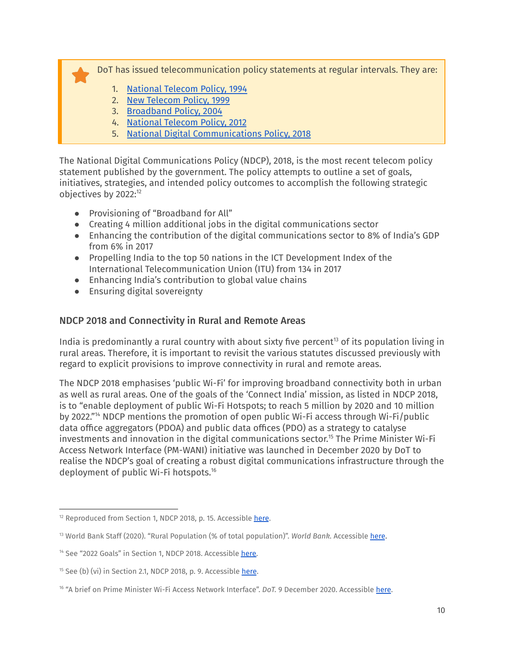DoT has issued telecommunication policy statements at regular intervals. They are:

- 1. [National](https://dot.gov.in/national-telecom-policy-1994) Telecom Policy, 1994
- 2. New [Telecom](https://dot.gov.in/new-telecom-policy-1999) Policy, 1999
- 3. [Broadband](https://dot.gov.in/broadband-policy-2004) Policy, 2004
- 4. [National](https://dot.gov.in/sites/default/files/NTP-06.06.2012-final_0.pdf) Telecom Policy, 2012
- 5. National Digital [Communications](https://dot.gov.in/sites/default/files/2018_10_29%20NDCP%202018_0.pdf) Policy, 2018

The National Digital Communications Policy (NDCP), 2018, is the most recent telecom policy statement published by the government. The policy attempts to outline a set of goals, initiatives, strategies, and intended policy outcomes to accomplish the following strategic objectives by 2022: 12

- Provisioning of "Broadband for All"
- Creating 4 million additional jobs in the digital communications sector
- Enhancing the contribution of the digital communications sector to 8% of India's GDP from 6% in 2017
- Propelling India to the top 50 nations in the ICT Development Index of the International Telecommunication Union (ITU) from 134 in 2017
- Enhancing India's contribution to global value chains
- Ensuring digital sovereignty

### <span id="page-9-0"></span>NDCP 2018 and Connectivity in Rural and Remote Areas

India is predominantly a rural country with about sixty five percent $^{13}$  of its population living in rural areas. Therefore, it is important to revisit the various statutes discussed previously with regard to explicit provisions to improve connectivity in rural and remote areas.

The NDCP 2018 emphasises 'public Wi-Fi' for improving broadband connectivity both in urban as well as rural areas. One of the goals of the 'Connect India' mission, as listed in NDCP 2018, is to "enable deployment of public Wi-Fi Hotspots; to reach 5 million by 2020 and 10 million by 2022."<sup>14</sup> NDCP mentions the promotion of open public Wi-Fi access through Wi-Fi/public data office aggregators (PDOA) and public data offices (PDO) as a strategy to catalyse investments and innovation in the digital communications sector.<sup>15</sup> The Prime Minister Wi-Fi Access Network Interface (PM-WANI) initiative was launched in December 2020 by DoT to realise the NDCP's goal of creating a robust digital communications infrastructure through the deployment of public Wi-Fi hotspots. 16

 $12$  Reproduced from Section 1, NDCP 2018, p. 15. Accessible [here](https://dot.gov.in/sites/default/files/Final%20NDCP-2018.pdf?download=1).

<sup>13</sup> World Bank Staff (2020). "Rural Population (% of total population)". *World Bank.* Accessible [here](https://data.worldbank.org/indicator/SP.RUR.TOTL.ZS).

<sup>&</sup>lt;sup>14</sup> See "2022 Goals" in Section 1, NDCP 2018. Accessible [here.](https://dot.gov.in/sites/default/files/Final%20NDCP-2018.pdf?download=1)

<sup>&</sup>lt;sup>15</sup> See (b) (vi) in Section 2.1, NDCP 2018, p. 9. Accessible [here](https://dot.gov.in/sites/default/files/Final%20NDCP-2018.pdf?download=1).

<sup>&</sup>lt;sup>16</sup> "A brief on Prime Minister Wi-Fi Access Network Interface". *DoT.* 9 December 2020. Accessible [here](https://dot.gov.in/sites/default/files/202-_12_11%20Brief%20PM%20WANI_0.pdf?download=1).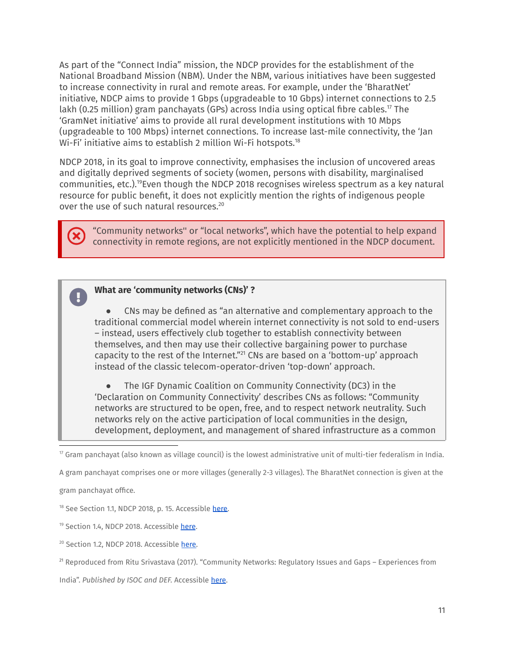As part of the "Connect India" mission, the NDCP provides for the establishment of the National Broadband Mission (NBM). Under the NBM, various initiatives have been suggested to increase connectivity in rural and remote areas. For example, under the 'BharatNet' initiative, NDCP aims to provide 1 Gbps (upgradeable to 10 Gbps) internet connections to 2.5 lakh (0.25 million) gram panchayats (GPs) across India using optical fibre cables.17 The 'GramNet initiative' aims to provide all rural development institutions with 10 Mbps (upgradeable to 100 Mbps) internet connections. To increase last-mile connectivity, the 'Jan Wi-Fi' initiative aims to establish 2 million Wi-Fi hotspots. 18

NDCP 2018, in its goal to improve connectivity, emphasises the inclusion of uncovered areas and digitally deprived segments of society (women, persons with disability, marginalised communities, etc.).<sup>19</sup>Even though the NDCP 2018 recognises wireless spectrum as a key natural resource for public benefit, it does not explicitly mention the rights of indigenous people over the use of such natural resources. 20

"Community networks'' or "local networks", which have the potential to help expand connectivity in remote regions, are not explicitly mentioned in the NDCP document.

#### **What are 'community networks (CNs)' ?**

CNs may be defined as "an alternative and complementary approach to the traditional commercial model wherein internet connectivity is not sold to end-users – instead, users effectively club together to establish connectivity between themselves, and then may use their collective bargaining power to purchase capacity to the rest of the Internet."<sup>21</sup> CNs are based on a 'bottom-up' approach instead of the classic telecom-operator-driven 'top-down' approach.

The IGF Dynamic Coalition on Community Connectivity (DC3) in the 'Declaration on Community Connectivity' describes CNs as follows: "Community networks are structured to be open, free, and to respect network neutrality. Such networks rely on the active participation of local communities in the design, development, deployment, and management of shared infrastructure as a common

A gram panchayat comprises one or more villages (generally 2-3 villages). The BharatNet connection is given at the

gram panchayat office.

<sup>18</sup> See Section 1.1, NDCP 2018, p. 15. Accessible [here.](https://dot.gov.in/sites/default/files/Final%20NDCP-2018.pdf?download=1)

<sup>19</sup> Section 1.4, NDCP 2018. Accessible [here](https://dot.gov.in/sites/default/files/Final%20NDCP-2018.pdf?download=1).

<sup>20</sup> Section 1.2, NDCP 2018. Accessible [here.](https://dot.gov.in/sites/default/files/Final%20NDCP-2018.pdf?download=1)

India". *Published by ISOC and DEF.* Accessible [here](https://www.internetsociety.org/wp-content/uploads/2017/10/W4C-Policy-Paper_Dec2017.pdf).

 $\eta$  Gram panchayat (also known as village council) is the lowest administrative unit of multi-tier federalism in India.

<sup>21</sup> Reproduced from Ritu Srivastava (2017). "Community Networks: Regulatory Issues and Gaps – Experiences from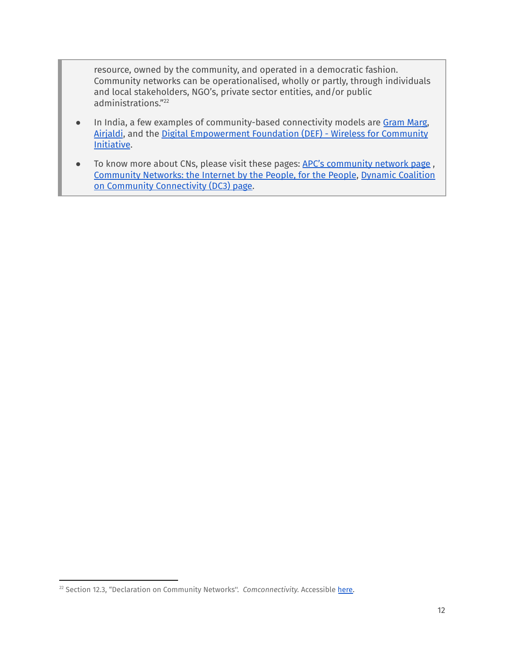resource, owned by the community, and operated in a democratic fashion. Community networks can be operationalised, wholly or partly, through individuals and local stakeholders, NGO's, private sector entities, and/or public administrations." 22

- In India, a few examples of community-based connectivity models are [Gram](http://grammarg.in/) Marg, [Airjaldi](https://airjaldi.com/), and the Digital [Empowerment](http://defindia.org/wforc/#:~:text=Digital%20Empowerment%20Foundation%20(DEF)%20and,ISOC%20and%20DEF%20is%20twofold.) Foundation (DEF) - Wireless for Community [Initiative](http://defindia.org/wforc/#:~:text=Digital%20Empowerment%20Foundation%20(DEF)%20and,ISOC%20and%20DEF%20is%20twofold.).
- To know more about CNs, please visit these pages: APC's [community](https://www.apc.org/en/tags/community-networks) network page, [Community](https://comconnectivity.org/) Networks: the Internet by the People, for the People, Dynamic [Coalition](https://www.intgovforum.org/multilingual/system/files/filedepot/45/community_networks_-_the_internet_by_the_people_for_the_people.pdf#page=154) on Community [Connectivity](https://www.intgovforum.org/multilingual/system/files/filedepot/45/community_networks_-_the_internet_by_the_people_for_the_people.pdf#page=154) (DC3) page.

<sup>&</sup>lt;sup>22</sup> Section 12.3, "Declaration on Community Networks". *Comconnectivity*. Accessible [here.](https://comconnectivity.org/wp-content/uploads/2020/05/declaration-on-community-connectivity-1-merged.pdf)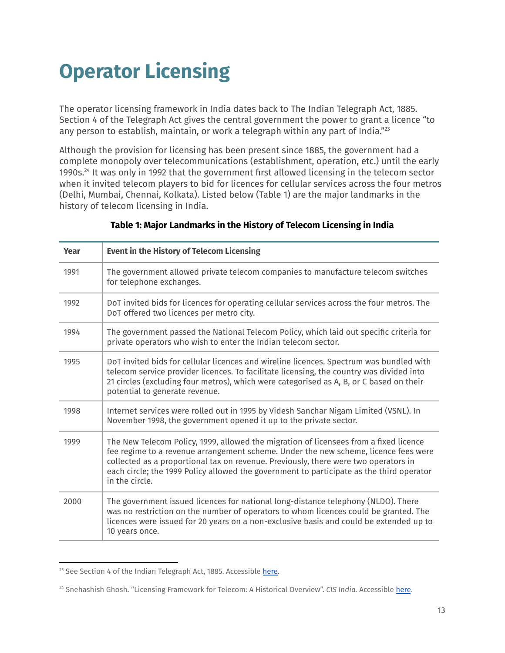# <span id="page-12-0"></span>**Operator Licensing**

The operator licensing framework in India dates back to The Indian Telegraph Act, 1885. Section 4 of the Telegraph Act gives the central government the power to grant a licence "to any person to establish, maintain, or work a telegraph within any part of India."<sup>23</sup>

Although the provision for licensing has been present since 1885, the government had a complete monopoly over telecommunications (establishment, operation, etc.) until the early 1990s. $^{24}$  It was only in 1992 that the government first allowed licensing in the telecom sector when it invited telecom players to bid for licences for cellular services across the four metros (Delhi, Mumbai, Chennai, Kolkata). Listed below (Table 1) are the major landmarks in the history of telecom licensing in India.

| Year | <b>Event in the History of Telecom Licensing</b>                                                                                                                                                                                                                                                                                                                                  |
|------|-----------------------------------------------------------------------------------------------------------------------------------------------------------------------------------------------------------------------------------------------------------------------------------------------------------------------------------------------------------------------------------|
| 1991 | The government allowed private telecom companies to manufacture telecom switches<br>for telephone exchanges.                                                                                                                                                                                                                                                                      |
| 1992 | DoT invited bids for licences for operating cellular services across the four metros. The<br>DoT offered two licences per metro city.                                                                                                                                                                                                                                             |
| 1994 | The government passed the National Telecom Policy, which laid out specific criteria for<br>private operators who wish to enter the Indian telecom sector.                                                                                                                                                                                                                         |
| 1995 | DoT invited bids for cellular licences and wireline licences. Spectrum was bundled with<br>telecom service provider licences. To facilitate licensing, the country was divided into<br>21 circles (excluding four metros), which were categorised as A, B, or C based on their<br>potential to generate revenue.                                                                  |
| 1998 | Internet services were rolled out in 1995 by Videsh Sanchar Nigam Limited (VSNL). In<br>November 1998, the government opened it up to the private sector.                                                                                                                                                                                                                         |
| 1999 | The New Telecom Policy, 1999, allowed the migration of licensees from a fixed licence<br>fee regime to a revenue arrangement scheme. Under the new scheme, licence fees were<br>collected as a proportional tax on revenue. Previously, there were two operators in<br>each circle; the 1999 Policy allowed the government to participate as the third operator<br>in the circle. |
| 2000 | The government issued licences for national long-distance telephony (NLDO). There<br>was no restriction on the number of operators to whom licences could be granted. The<br>licences were issued for 20 years on a non-exclusive basis and could be extended up to<br>10 years once.                                                                                             |

### **Table 1: Major Landmarks in the History of Telecom Licensing in India**

<sup>&</sup>lt;sup>23</sup> See Section 4 of the Indian Telegraph Act, 1885. Accessible [here.](https://dot.gov.in/act-rules-content/2442)

<sup>24</sup> Snehashish Ghosh. "Licensing Framework for Telecom: A Historical Overview". *CIS India.* Accessible [here](https://cis-india.org/telecom/resources/licensing-framework-for-telecom).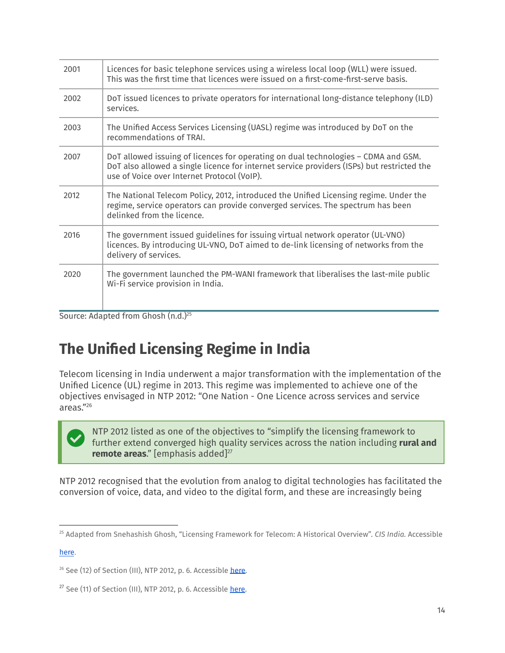| 2001 | Licences for basic telephone services using a wireless local loop (WLL) were issued.<br>This was the first time that licences were issued on a first-come-first-serve basis.                                                    |
|------|---------------------------------------------------------------------------------------------------------------------------------------------------------------------------------------------------------------------------------|
| 2002 | DoT issued licences to private operators for international long-distance telephony (ILD)<br>services.                                                                                                                           |
| 2003 | The Unified Access Services Licensing (UASL) regime was introduced by DoT on the<br>recommendations of TRAI.                                                                                                                    |
| 2007 | DoT allowed issuing of licences for operating on dual technologies - CDMA and GSM.<br>DoT also allowed a single licence for internet service providers (ISPs) but restricted the<br>use of Voice over Internet Protocol (VoIP). |
| 2012 | The National Telecom Policy, 2012, introduced the Unified Licensing regime. Under the<br>regime, service operators can provide converged services. The spectrum has been<br>delinked from the licence.                          |
| 2016 | The government issued guidelines for issuing virtual network operator (UL-VNO)<br>licences. By introducing UL-VNO, DoT aimed to de-link licensing of networks from the<br>delivery of services.                                 |
| 2020 | The government launched the PM-WANI framework that liberalises the last-mile public<br>Wi-Fi service provision in India.                                                                                                        |

Source: Adapted from Ghosh (n.d.)<sup>25</sup>

### <span id="page-13-0"></span>**The Unified Licensing Regime in India**

Telecom licensing in India underwent a major transformation with the implementation of the Unified Licence (UL) regime in 2013. This regime was implemented to achieve one of the objectives envisaged in NTP 2012: "One Nation - One Licence across services and service areas." 26

NTP 2012 listed as one of the objectives to "simplify the licensing framework to further extend converged high quality services across the nation including **rural and remote areas**." [emphasis added] 27

NTP 2012 recognised that the evolution from analog to digital technologies has facilitated the conversion of voice, data, and video to the digital form, and these are increasingly being

[here](https://cis-india.org/telecom/resources/licensing-framework-for-telecom).

<sup>25</sup> Adapted from Snehashish Ghosh, "Licensing Framework for Telecom: A Historical Overview"*. CIS India.* Accessible

<sup>&</sup>lt;sup>26</sup> See (12) of Section (III), NTP 2012, p. 6. Accessible [here.](http://www.dot.gov.in/sites/default/files/NTP-06.06.2012-final.pdf)

 $27$  See (11) of Section (III), NTP 2012, p. 6. Accessible [here](http://www.dot.gov.in/sites/default/files/NTP-06.06.2012-final.pdf).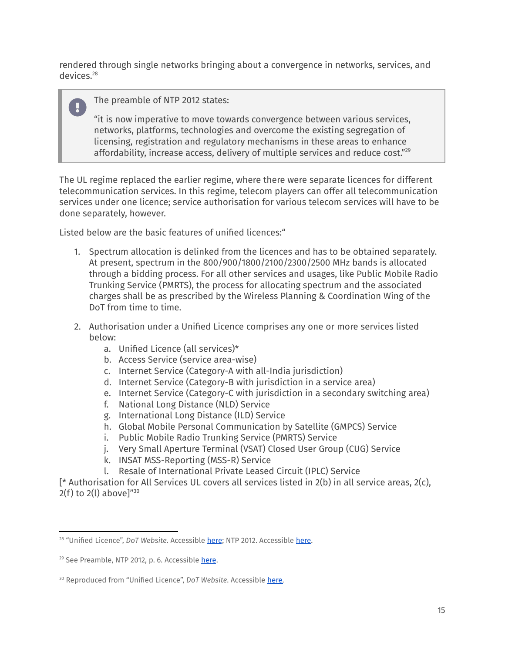rendered through single networks bringing about a convergence in networks, services, and devices. 28

### The preamble of NTP 2012 states:

"it is now imperative to move towards convergence between various services, networks, platforms, technologies and overcome the existing segregation of licensing, registration and regulatory mechanisms in these areas to enhance affordability, increase access, delivery of multiple services and reduce cost." 29

The UL regime replaced the earlier regime, where there were separate licences for different telecommunication services. In this regime, telecom players can offer all telecommunication services under one licence; service authorisation for various telecom services will have to be done separately, however.

Listed below are the basic features of unified licences:"

- 1. Spectrum allocation is delinked from the licences and has to be obtained separately. At present, spectrum in the 800/900/1800/2100/2300/2500 MHz bands is allocated through a bidding process. For all other services and usages, like Public Mobile Radio Trunking Service (PMRTS), the process for allocating spectrum and the associated charges shall be as prescribed by the Wireless Planning & Coordination Wing of the DoT from time to time.
- 2. Authorisation under a Unified Licence comprises any one or more services listed below:
	- a. Unified Licence (all services)\*
	- b. Access Service (service area-wise)
	- c. Internet Service (Category-A with all-India jurisdiction)
	- d. Internet Service (Category-B with jurisdiction in a service area)
	- e. Internet Service (Category-C with jurisdiction in a secondary switching area)
	- f. National Long Distance (NLD) Service
	- g. International Long Distance (ILD) Service
	- h. Global Mobile Personal Communication by Satellite (GMPCS) Service
	- i. Public Mobile Radio Trunking Service (PMRTS) Service
	- j. Very Small Aperture Terminal (VSAT) Closed User Group (CUG) Service
	- k. INSAT MSS-Reporting (MSS-R) Service
	- l. Resale of International Private Leased Circuit (IPLC) Service

[\* Authorisation for All Services UL covers all services listed in 2(b) in all service areas, 2(c), 2(f) to 2(l) above]" 30

<sup>&</sup>lt;sup>28</sup> "Unified Licence", *DoT Website*. Accessible [here](http://www.dot.gov.in/sites/default/files/NTP-06.06.2012-final.pdf); NTP 2012. Accessible here.

<sup>&</sup>lt;sup>29</sup> See Preamble, NTP 2012, p. 6. Accessible [here](http://www.dot.gov.in/sites/default/files/NTP-06.06.2012-final.pdf).

<sup>&</sup>lt;sup>30</sup> Reproduced from "Unified Licence", *DoT Website*. Accessible [here.](https://dot.gov.in/unified-licnse)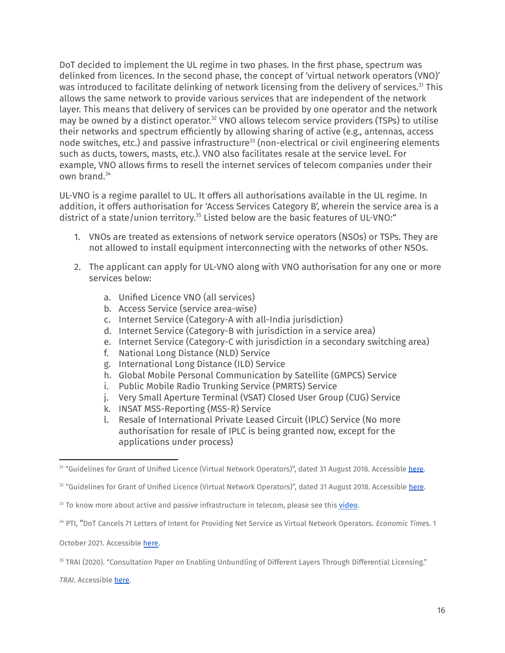DoT decided to implement the UL regime in two phases. In the first phase, spectrum was delinked from licences. In the second phase, the concept of 'virtual network operators (VNO)' was introduced to facilitate delinking of network licensing from the delivery of services.<sup>31</sup> This allows the same network to provide various services that are independent of the network layer. This means that delivery of services can be provided by one operator and the network may be owned by a distinct operator. $32$  VNO allows telecom service providers (TSPs) to utilise their networks and spectrum efficiently by allowing sharing of active (e.g., antennas, access node switches, etc.) and passive infrastructure<sup>33</sup> (non-electrical or civil engineering elements such as ducts, towers, masts, etc.). VNO also facilitates resale at the service level. For example, VNO allows firms to resell the internet services of telecom companies under their own brand. 34

UL-VNO is a regime parallel to UL. It offers all authorisations available in the UL regime. In addition, it offers authorisation for 'Access Services Category B', wherein the service area is a district of a state/union territory.<sup>35</sup> Listed below are the basic features of UL-VNO:"

- 1. VNOs are treated as extensions of network service operators (NSOs) or TSPs. They are not allowed to install equipment interconnecting with the networks of other NSOs.
- 2. The applicant can apply for UL-VNO along with VNO authorisation for any one or more services below:
	- a. Unified Licence VNO (all services)
	- b. Access Service (service area-wise)
	- c. Internet Service (Category-A with all-India jurisdiction)
	- d. Internet Service (Category-B with jurisdiction in a service area)
	- e. Internet Service (Category-C with jurisdiction in a secondary switching area)
	- f. National Long Distance (NLD) Service
	- g. International Long Distance (ILD) Service
	- h. Global Mobile Personal Communication by Satellite (GMPCS) Service
	- i. Public Mobile Radio Trunking Service (PMRTS) Service
	- j. Very Small Aperture Terminal (VSAT) Closed User Group (CUG) Service
	- k. INSAT MSS-Reporting (MSS-R) Service
	- l. Resale of International Private Leased Circuit (IPLC) Service (No more authorisation for resale of IPLC is being granted now, except for the applications under process)

October 2021. Accessible [here.](https://economictimes.indiatimes.com/industry/telecom/telecom-news/dot-cancels-71-letters-of-intent-for-providing-net-service-as-virtual-network-operators/articleshow/86682413.cms?utm_source=contentofinterest&utm_medium=text&utm_campaign=cppst)

*TRAI*. Accessible [here.](https://www.trai.gov.in/consultation-paper-enabling-unbundling-different-layers-through-differential-licensing)

<sup>&</sup>lt;sup>31</sup> "Guidelines for Grant of Unified Licence (Virtual Network Operators)", dated 31 August 2018. Accessible [here.](https://dot.gov.in/sites/default/files/2018_08_31%20UL%20VNO%20G.pdf)

<sup>&</sup>lt;sup>32</sup> "Guidelines for Grant of Unified Licence (Virtual Network Operators)", dated 31 August 2018. Accessible [here](https://dot.gov.in/sites/default/files/2018_08_31%20UL%20VNO%20G.pdf).

 $33$  To know more about active and passive infrastructure in telecom, please see this  $video$ .</u>

<sup>34</sup> PTI, "DoT Cancels 71 Letters of Intent for Providing Net Service as Virtual Network Operators. *Economic Time*s. 1

<sup>35</sup> TRAI (2020). "Consultation Paper on Enabling Unbundling of Different Layers Through Differential Licensing."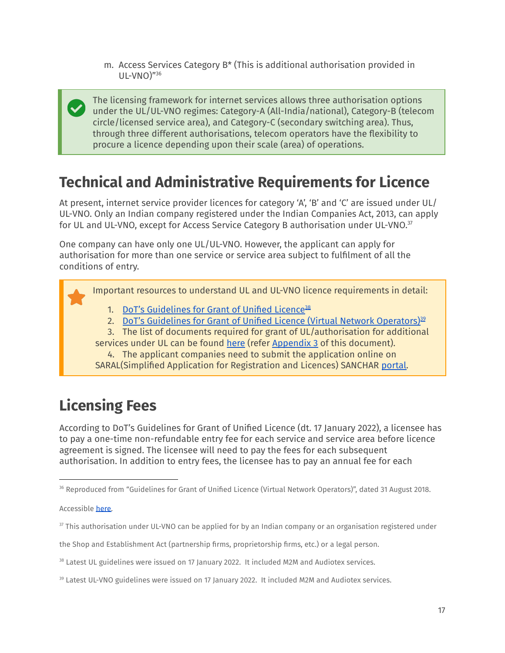m. Access Services Category B\* (This is additional authorisation provided in UL-VNO)" 36

The licensing framework for internet services allows three authorisation options under the UL/UL-VNO regimes: Category-A (All-India/national), Category-B (telecom circle/licensed service area), and Category-C (secondary switching area). Thus, through three different authorisations, telecom operators have the flexibility to procure a licence depending upon their scale (area) of operations.

### <span id="page-16-0"></span>**Technical and Administrative Requirements for Licence**

At present, internet service provider licences for category 'A', 'B' and 'C' are issued under UL/ UL-VNO. Only an Indian company registered under the Indian Companies Act, 2013, can apply for UL and UL-VNO, except for Access Service Category B authorisation under UL-VNO.<sup>37</sup>

One company can have only one UL/UL-VNO. However, the applicant can apply for authorisation for more than one service or service area subject to fulfilment of all the conditions of entry.

Important resources to understand UL and UL-VNO licence requirements in detail:

- 1. DoT's [Guidelines](https://dot.gov.in/sites/default/files/UL%20guidelines%20with%20M2M%20without%20INSAT%20MSS%20R%20dated%2017012022_0.pdf?download=1) for Grant of Unified Licence<sup>38</sup>
- 2. <u>DoT's Guidelines for Grant of Unified Licence (Virtual Network [Operators\)](https://dot.gov.in/sites/default/files/UL%20VNO%20guidelines%20with%20M2M%20without%20INSAT%20MSS%20R%20dated%2017012022_1.pdf?download=1) $^{32}$ </u>
- 3. The list of documents required for grant of UL/authorisation for additional
- services under UL can be found [here](https://saralsanchar.gov.in/circular/licenses_issued/UL_FAQ.pdf) (refer [Appendix](#page-45-0) 3 of this document). 4. The applicant companies need to submit the application online on
- SARAL(Simplified Application for Registration and Licences) SANCHAR [portal.](https://saralsanchar.gov.in/)

### <span id="page-16-1"></span>**Licensing Fees**

According to DoT's [Guidelines](https://dot.gov.in/sites/default/files/UL%20guidelines%20with%20M2M%20without%20INSAT%20MSS%20R%20dated%2017012022_0.pdf?download=1) for Grant of Unified Licence (dt. 17 January 2022), a licensee has to pay a one-time non-refundable entry fee for each service and service area before licence agreement is signed. The licensee will need to pay the fees for each subsequent authorisation. In addition to entry fees, the licensee has to pay an annual fee for each

the Shop and Establishment Act (partnership firms, proprietorship firms, etc.) or a legal person.

<sup>36</sup> Reproduced from "Guidelines for Grant of Unified Licence (Virtual Network Operators)", dated 31 August 2018.

Accessible [here.](https://dot.gov.in/sites/default/files/2018_08_31%20UL%20VNO%20G.pdf)

<sup>&</sup>lt;sup>37</sup> This authorisation under UL-VNO can be applied for by an Indian company or an organisation registered under

<sup>&</sup>lt;sup>38</sup> Latest UL guidelines were issued on 17 January 2022. It included M2M and Audiotex services.

<sup>&</sup>lt;sup>39</sup> Latest UL-VNO guidelines were issued on 17 January 2022. It included M2M and Audiotex services.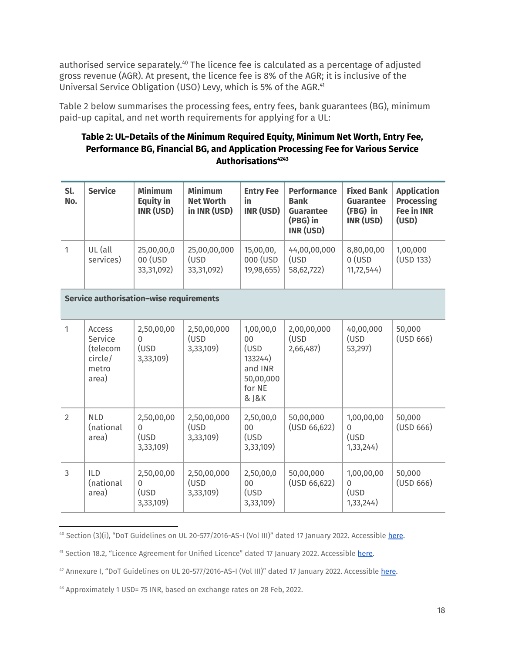authorised service separately.<sup>40</sup> The licence fee is calculated as a percentage of adjusted gross revenue (AGR). At present, the licence fee is 8% of the AGR; it is inclusive of the Universal Service Obligation (USO) Levy, which is 5% of the AGR. 41

Table 2 below summarises the processing fees, entry fees, bank guarantees (BG), minimum paid-up capital, and net worth requirements for applying for a UL:

### **Table 2: UL–Details of the Minimum Required Equity, Minimum Net Worth, Entry Fee, Performance BG, Financial BG, and Application Processing Fee for Various Service Authorisations 4243**

| Sl.<br>No.     | <b>Service</b>                                             | <b>Minimum</b><br><b>Equity in</b><br>INR (USD) | <b>Minimum</b><br><b>Net Worth</b><br>in INR (USD) | <b>Entry Fee</b><br>in<br>INR (USD)                                           | <b>Performance</b><br><b>Bank</b><br><b>Guarantee</b><br>(PBG) in<br>INR (USD) | <b>Fixed Bank</b><br><b>Guarantee</b><br>(FBG) in<br>INR (USD) | <b>Application</b><br><b>Processing</b><br><b>Fee in INR</b><br>(USD) |
|----------------|------------------------------------------------------------|-------------------------------------------------|----------------------------------------------------|-------------------------------------------------------------------------------|--------------------------------------------------------------------------------|----------------------------------------------------------------|-----------------------------------------------------------------------|
| $\mathbf{1}$   | UL (all<br>services)                                       | 25,00,00,0<br>00 (USD<br>33,31,092)             | 25,00,00,000<br>(USD<br>33,31,092)                 | 15,00,00,<br>000 (USD<br>19,98,655)                                           | 44,00,00,000<br>(USD<br>58,62,722)                                             | 8,80,00,00<br>$0$ (USD<br>11,72,544)                           | 1,00,000<br>(USD 133)                                                 |
|                |                                                            | Service authorisation-wise requirements         |                                                    |                                                                               |                                                                                |                                                                |                                                                       |
| $\mathbf{1}$   | Access<br>Service<br>(telecom<br>circle/<br>metro<br>area) | 2,50,00,00<br>$\Omega$<br>(USD<br>3,33,109)     | 2,50,00,000<br>(USD<br>3,33,109)                   | 1,00,00,0<br>00<br>(USD<br>133244)<br>and INR<br>50,00,000<br>for NE<br>& J&K | 2,00,00,000<br>(USD<br>2,66,487)                                               | 40,00,000<br>(USD<br>53,297)                                   | 50,000<br>(USD 666)                                                   |
| $\overline{2}$ | <b>NLD</b><br>(national<br>area)                           | 2,50,00,00<br>$\Omega$<br>(USD<br>3,33,109)     | 2,50,00,000<br>(USD<br>3,33,109)                   | 2,50,00,0<br>$00\,$<br>(USD<br>3,33,109)                                      | 50,00,000<br>(USD 66, 622)                                                     | 1,00,00,00<br>$\Omega$<br>(USD<br>1,33,244)                    | 50,000<br>(USD 666)                                                   |
| $\overline{3}$ | <b>ILD</b><br>(national<br>area)                           | 2,50,00,00<br>$\Omega$<br>(USD<br>3,33,109)     | 2,50,00,000<br>(USD<br>3,33,109)                   | 2,50,00,0<br>00<br>(USD<br>3,33,109)                                          | 50,00,000<br>(USD 66, 622)                                                     | 1,00,00,00<br>$\overline{0}$<br>(USD<br>1,33,244)              | 50,000<br>(USD 666)                                                   |

<sup>&</sup>lt;sup>40</sup> Section (3)(i), "DoT Guidelines on UL 20-577/2016-AS-I (Vol III)" dated 17 January 2022. Accessible [here](https://dot.gov.in/sites/default/files/BG-UL-06-10-2021_0001.pdf?download=1).

<sup>&</sup>lt;sup>41</sup> Section 18.2, "Licence Agreement for Unified Licence" dated 17 January 2022. Accessible [here](https://dot.gov.in/sites/default/files/1%20UL%20AGREEMENT%20with%20Audiotex%20M2M%20without%20INSAT%20MSSR%2017012022.pdf?download=1).

<sup>&</sup>lt;sup>42</sup> Annexure I, "DoT Guidelines on UL 20-577/2016-AS-I (Vol III)" dated 17 January 2022. Accessible [here](https://dot.gov.in/sites/default/files/BG-UL-06-10-2021_0001.pdf?download=1).

<sup>43</sup> Approximately 1 USD= 75 INR, based on exchange rates on 28 Feb, 2022.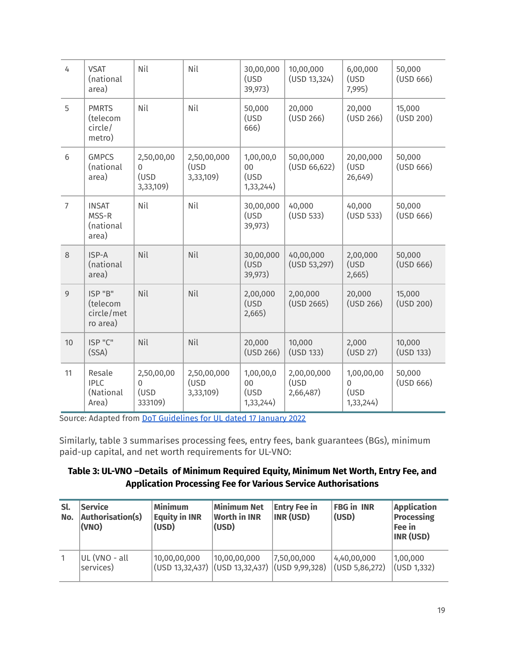| 4              | <b>VSAT</b><br>(national<br>area)             | Nil                                             | Nil                              | 30,00,000<br>(USD<br>39,973)         | 10,00,000<br>(USD 13, 324)       | 6,00,000<br>(USD<br>7,995)                     | 50,000<br>(USD 666) |
|----------------|-----------------------------------------------|-------------------------------------------------|----------------------------------|--------------------------------------|----------------------------------|------------------------------------------------|---------------------|
| 5              | <b>PMRTS</b><br>(telecom<br>circle/<br>metro) | Nil                                             | Nil                              | 50,000<br>(USD<br>666)               | 20,000<br>(USD 266)              | 20,000<br>(USD 266)                            | 15,000<br>(USD 200) |
| $6\,$          | <b>GMPCS</b><br>(national<br>area)            | 2,50,00,00<br>$\Omega$<br>(USD<br>3,33,109)     | 2,50,00,000<br>(USD<br>3,33,109) | 1,00,00,0<br>00<br>(USD<br>1,33,244) | 50,00,000<br>(USD 66, 622)       | 20,00,000<br>(USD<br>26,649)                   | 50,000<br>(USD 666) |
| $\overline{7}$ | <b>INSAT</b><br>MSS-R<br>(national<br>area)   | Nil                                             | Nil                              | 30,00,000<br>(USD<br>39,973)         | 40,000<br>(USD 533)              | 40,000<br>(USD 533)                            | 50,000<br>(USD 666) |
| 8              | ISP-A<br>(national<br>area)                   | Nil                                             | Nil                              | 30,00,000<br>(USD<br>39,973)         | 40,00,000<br>(USD 53, 297)       | 2,00,000<br>(USD<br>2,665)                     | 50,000<br>(USD 666) |
| 9              | ISP "B"<br>(telecom<br>circle/met<br>ro area) | Nil                                             | Nil                              | 2,00,000<br>(USD<br>2,665)           | 2,00,000<br>(USD 2665)           | 20,000<br>(USD 266)                            | 15,000<br>(USD 200) |
| 10             | ISP "C"<br>(SSA)                              | Nil                                             | Nil                              | 20,000<br>(USD 266)                  | 10,000<br>(USD 133)              | 2,000<br>(USD 27)                              | 10,000<br>(USD 133) |
| 11             | Resale<br><b>IPLC</b><br>(National<br>Area)   | 2,50,00,00<br>$\overline{0}$<br>(USD<br>333109) | 2,50,00,000<br>(USD<br>3,33,109) | 1,00,00,0<br>00<br>(USD<br>1,33,244) | 2,00,00,000<br>(USD<br>2,66,487) | 1,00,00,00<br>$\mathbf 0$<br>(USD<br>1,33,244) | 50,000<br>(USD 666) |

Source: Adapted from DoT [Guidelines](https://dot.gov.in/sites/default/files/UL%20guidelines%20with%20M2M%20without%20INSAT%20MSS%20R%20dated%2017012022_0.pdf?download=1) for UL dated 17 January 2022

Similarly, table 3 summarises processing fees, entry fees, bank guarantees (BGs), minimum paid-up capital, and net worth requirements for UL-VNO:

### **Table 3: UL-VNO –Details of Minimum Required Equity, Minimum Net Worth, Entry Fee, and Application Processing Fee for Various Service Authorisations**

| Sl.<br>No. | <b>Service</b><br>Authorisation(s)<br>(VNO) | <b>Minimum</b><br><b>Equity in INR</b><br>(USD) | <b>Minimum Net</b><br><b>Worth in INR</b><br>(USD)                               | <b>Entry Fee in</b><br><b>INR (USD)</b> | <b>FBG in INR</b><br>(USD)      | <b>Application</b><br><b>Processing</b><br>Fee in<br>INR (USD) |
|------------|---------------------------------------------|-------------------------------------------------|----------------------------------------------------------------------------------|-----------------------------------------|---------------------------------|----------------------------------------------------------------|
|            | UL (VNO - all<br>services)                  | 10,00,00,000                                    | 10,00,00,000<br>$(USD 13,32,437)$ $\vert$ (USD 13,32,437) $\vert$ (USD 9,99,328) | 7,50,00,000                             | 4,40,00,000<br>(USD 5, 86, 272) | 1,00,000<br>(USD 1,332)                                        |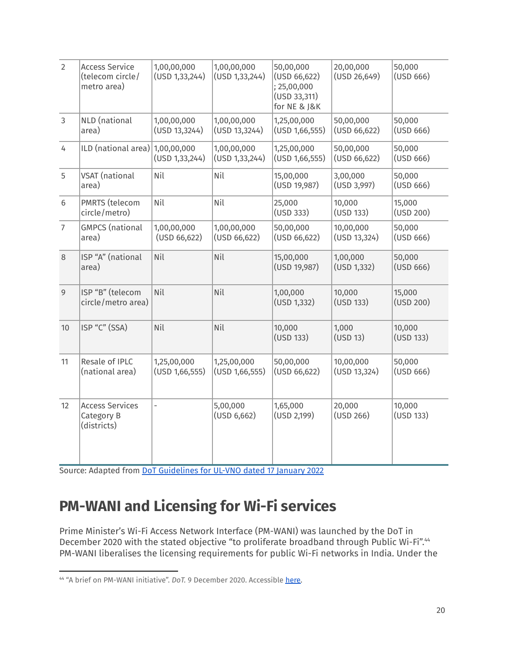| $\overline{2}$ | <b>Access Service</b><br>(telecom circle/<br>metro area) | 1,00,00,000<br>(USD 1, 33, 244) | 1,00,00,000<br>(USD 1, 33, 244) | 50,00,000<br>(USD 66, 622)<br>; 25,00,000<br>(USD 33, 311)<br>for NE & J&K | 20,00,000<br>(USD 26, 649) | 50,000<br>(USD 666) |
|----------------|----------------------------------------------------------|---------------------------------|---------------------------------|----------------------------------------------------------------------------|----------------------------|---------------------|
| $\mathfrak{Z}$ | NLD (national<br>area)                                   | 1,00,00,000<br>(USD 13, 3244)   | 1,00,00,000<br>(USD 13, 3244)   | 1,25,00,000<br>(USD 1,66,555)                                              | 50,00,000<br>(USD 66,622)  | 50,000<br>(USD 666) |
| 4              | ILD (national area) 1,00,00,000                          | (USD 1, 33, 244)                | 1,00,00,000<br>(USD 1, 33, 244) | 1,25,00,000<br>(USD 1,66,555)                                              | 50,00,000<br>(USD 66,622)  | 50,000<br>(USD 666) |
| 5              | VSAT (national<br>area)                                  | Nil                             | Nil                             | 15,00,000<br>(USD 19,987)                                                  | 3,00,000<br>(USD 3,997)    | 50,000<br>(USD 666) |
| 6              | PMRTS (telecom<br>circle/metro)                          | Nil                             | Nil                             | 25,000<br>(USD 333)                                                        | 10,000<br>(USD 133)        | 15,000<br>(USD 200) |
| $\overline{7}$ | <b>GMPCS</b> (national<br>area)                          | 1,00,00,000<br>(USD 66, 622)    | 1,00,00,000<br>(USD 66, 622)    | 50,00,000<br>(USD 66, 622)                                                 | 10,00,000<br>(USD 13, 324) | 50,000<br>(USD 666) |
| 8              | ISP "A" (national<br>area)                               | Nil                             | Nil                             | 15,00,000<br>(USD 19,987)                                                  | 1,00,000<br>(USD 1, 332)   | 50,000<br>(USD 666) |
| 9              | ISP "B" (telecom<br>circle/metro area)                   | Nil                             | Nil                             | 1,00,000<br>(USD 1,332)                                                    | 10,000<br>(USD 133)        | 15,000<br>(USD 200) |
| 10             | ISP "C" (SSA)                                            | Nil                             | Nil                             | 10,000<br>(USD 133)                                                        | 1,000<br>(USD 13)          | 10,000<br>(USD 133) |
| 11             | Resale of IPLC<br>(national area)                        | 1,25,00,000<br>(USD 1,66,555)   | 1,25,00,000<br>(USD 1,66,555)   | 50,00,000<br>(USD 66, 622)                                                 | 10,00,000<br>(USD 13, 324) | 50,000<br>(USD 666) |
| 12             | <b>Access Services</b><br>Category B<br>(districts)      | $\overline{a}$                  | 5,00,000<br>(USD 6,662)         | 1,65,000<br>(USD 2,199)                                                    | 20,000<br>(USD 266)        | 10,000<br>(USD 133) |

Source: Adapted from DoT [Guidelines](https://dot.gov.in/sites/default/files/UL%20VNO%20guidelines%20with%20M2M%20without%20INSAT%20MSS%20R%20dated%2017012022_1.pdf?download=1) for UL-VNO dated 17 January 2022

### <span id="page-19-0"></span>**PM-WANI and Licensing for Wi-Fi services**

Prime Minister's Wi-Fi Access Network Interface (PM-WANI) was launched by the DoT in December 2020 with the stated objective "to proliferate broadband through Public Wi-Fi".<sup>44</sup> PM-WANI liberalises the licensing requirements for public Wi-Fi networks in India. Under the

<sup>44</sup> "A brief on PM-WANI initiative". *DoT.* 9 December 2020. Accessible [here.](https://dot.gov.in/sites/default/files/202-_12_11%20Brief%20PM%20WANI_0_0.pdf?download=1)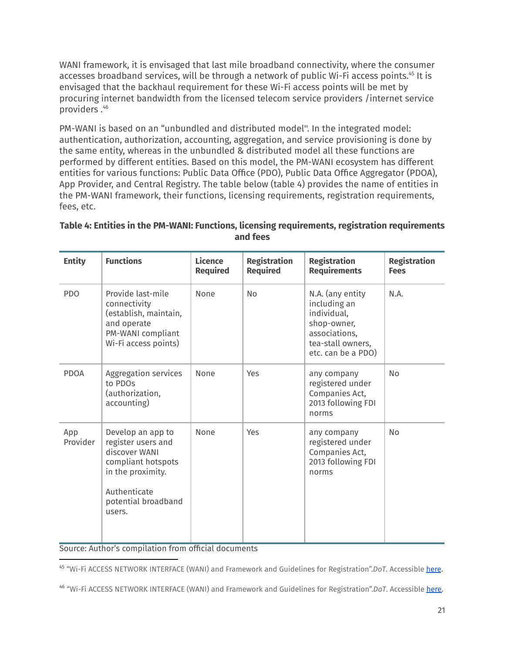WANI framework, it is envisaged that last mile broadband connectivity, where the consumer accesses broadband services, will be through a network of public Wi-Fi access points.45 It is envisaged that the backhaul requirement for these Wi-Fi access points will be met by procuring internet bandwidth from the licensed telecom service providers /internet service providers.<sup>46</sup>

PM-WANI is based on an "unbundled and distributed model''. In the integrated model: authentication, authorization, accounting, aggregation, and service provisioning is done by the same entity, whereas in the unbundled & distributed model all these functions are performed by different entities. Based on this model, the PM-WANI ecosystem has different entities for various functions: Public Data Office (PDO), Public Data Office Aggregator (PDOA), App Provider, and Central Registry. The table below (table 4) provides the name of entities in the PM-WANI framework, their functions, licensing requirements, registration requirements, fees, etc.

| <b>Entity</b>   | <b>Functions</b>                                                                                                                                     | <b>Licence</b><br><b>Required</b> | <b>Registration</b><br><b>Required</b> | <b>Registration</b><br><b>Requirements</b>                                                                                 | <b>Registration</b><br><b>Fees</b> |
|-----------------|------------------------------------------------------------------------------------------------------------------------------------------------------|-----------------------------------|----------------------------------------|----------------------------------------------------------------------------------------------------------------------------|------------------------------------|
| <b>PDO</b>      | Provide last-mile<br>connectivity<br>(establish, maintain,<br>and operate<br>PM-WANI compliant<br>Wi-Fi access points)                               | None                              | <b>No</b>                              | N.A. (any entity<br>including an<br>individual,<br>shop-owner,<br>associations,<br>tea-stall owners,<br>etc. can be a PDO) | N.A.                               |
| <b>PDOA</b>     | Aggregation services<br>to PDOs<br>(authorization,<br>accounting)                                                                                    | None                              | Yes                                    | any company<br>registered under<br>Companies Act,<br>2013 following FDI<br>norms                                           | <b>No</b>                          |
| App<br>Provider | Develop an app to<br>register users and<br>discover WANI<br>compliant hotspots<br>in the proximity.<br>Authenticate<br>potential broadband<br>users. | None                              | Yes                                    | any company<br>registered under<br>Companies Act,<br>2013 following FDI<br>norms                                           | <b>No</b>                          |

#### **Table 4: Entities in the PM-WANI: Functions, licensing requirements, registration requirements and fees**

Source: Author's compilation from official documents

<sup>45</sup> "Wi-Fi ACCESS NETWORK INTERFACE (WANI) and Framework and Guidelines for Registration".*DoT*. Accessible [here](https://dot.gov.in/sites/default/files/2020_12_11%20WANI%20Framework%20Guidelines_0.pdf?download=1).

<sup>46</sup> "Wi-Fi ACCESS NETWORK INTERFACE (WANI) and Framework and Guidelines for Registration".*DoT*. Accessible [here.](https://dot.gov.in/sites/default/files/2020_12_11%20WANI%20Framework%20Guidelines_0.pdf?download=1)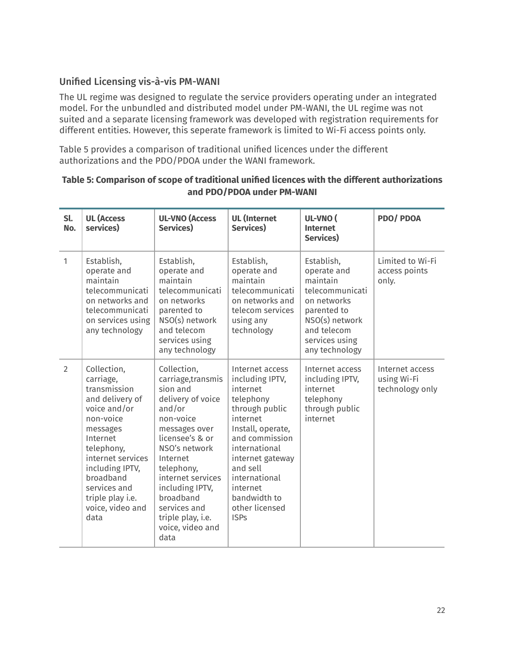### <span id="page-21-0"></span>Unified Licensing vis-à-vis PM-WANI

The UL regime was designed to regulate the service providers operating under an integrated model. For the unbundled and distributed model under PM-WANI, the UL regime was not suited and a separate licensing framework was developed with registration requirements for different entities. However, this seperate framework is limited to Wi-Fi access points only.

Table 5 provides a comparison of traditional unified licences under the different authorizations and the PDO/PDOA under the WANI framework.

| Sl.<br>No. | <b>UL (Access</b><br>services)                                                                                                                                                                                                                      | <b>UL-VNO (Access</b><br>Services)                                                                                                                                                                                                                                                            | <b>UL</b> (Internet<br>Services)                                                                                                                                                                                                                                | UL-VNO (<br><b>Internet</b><br>Services)                                                                                                                    | <b>PDO/PDOA</b>                                   |
|------------|-----------------------------------------------------------------------------------------------------------------------------------------------------------------------------------------------------------------------------------------------------|-----------------------------------------------------------------------------------------------------------------------------------------------------------------------------------------------------------------------------------------------------------------------------------------------|-----------------------------------------------------------------------------------------------------------------------------------------------------------------------------------------------------------------------------------------------------------------|-------------------------------------------------------------------------------------------------------------------------------------------------------------|---------------------------------------------------|
| 1          | Establish,<br>operate and<br>maintain<br>telecommunicati<br>on networks and<br>telecommunicati<br>on services using<br>any technology                                                                                                               | Establish,<br>operate and<br>maintain<br>telecommunicati<br>on networks<br>parented to<br>NSO(s) network<br>and telecom<br>services using<br>any technology                                                                                                                                   | Establish,<br>operate and<br>maintain<br>telecommunicati<br>on networks and<br>telecom services<br>using any<br>technology                                                                                                                                      | Establish,<br>operate and<br>maintain<br>telecommunicati<br>on networks<br>parented to<br>NSO(s) network<br>and telecom<br>services using<br>any technology | Limited to Wi-Fi<br>access points<br>only.        |
| 2          | Collection,<br>carriage,<br>transmission<br>and delivery of<br>voice and/or<br>non-voice<br>messages<br>Internet<br>telephony,<br>internet services<br>including IPTV,<br>broadband<br>services and<br>triple play i.e.<br>voice, video and<br>data | Collection,<br>carriage,transmis<br>sion and<br>delivery of voice<br>and/or<br>non-voice<br>messages over<br>licensee's & or<br>NSO's network<br>Internet<br>telephony,<br>internet services<br>including IPTV,<br>broadband<br>services and<br>triple play, i.e.<br>voice, video and<br>data | Internet access<br>including IPTV,<br>internet<br>telephony<br>through public<br>internet<br>Install, operate,<br>and commission<br>international<br>internet gateway<br>and sell<br>international<br>internet<br>bandwidth to<br>other licensed<br><b>ISPs</b> | Internet access<br>including IPTV,<br>internet<br>telephony<br>through public<br>internet                                                                   | Internet access<br>using Wi-Fi<br>technology only |

### **Table 5: Comparison of scope of traditional unified licences with the different authorizations and PDO/PDOA under PM-WANI**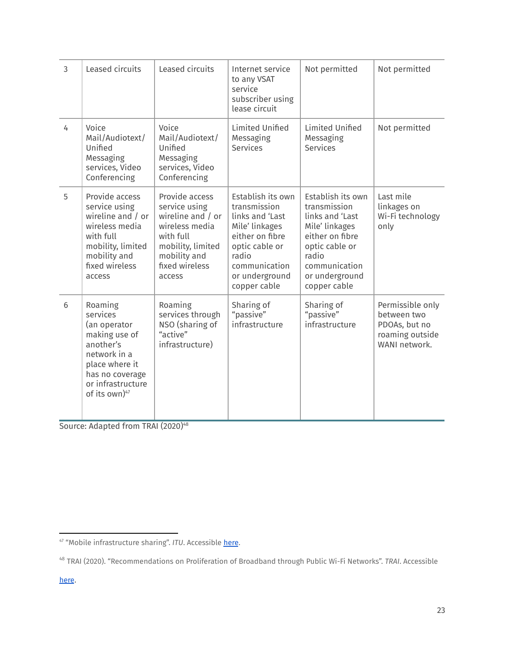| 3 | Leased circuits                                                                                                                                              | Leased circuits                                                                                                                                      | Internet service<br>to any VSAT<br>service<br>subscriber using<br>lease circuit                                                                                         | Not permitted                                                                                                                                                           | Not permitted                                                                        |
|---|--------------------------------------------------------------------------------------------------------------------------------------------------------------|------------------------------------------------------------------------------------------------------------------------------------------------------|-------------------------------------------------------------------------------------------------------------------------------------------------------------------------|-------------------------------------------------------------------------------------------------------------------------------------------------------------------------|--------------------------------------------------------------------------------------|
| 4 | Voice<br>Mail/Audiotext/<br>Unified<br>Messaging<br>services, Video<br>Conferencing                                                                          | Voice<br>Mail/Audiotext/<br>Unified<br>Messaging<br>services, Video<br>Conferencing                                                                  | Limited Unified<br>Messaging<br>Services                                                                                                                                | Limited Unified<br>Messaging<br>Services                                                                                                                                | Not permitted                                                                        |
| 5 | Provide access<br>service using<br>wireline and / or<br>wireless media<br>with full<br>mobility, limited<br>mobility and<br>fixed wireless<br>access         | Provide access<br>service using<br>wireline and / or<br>wireless media<br>with full<br>mobility, limited<br>mobility and<br>fixed wireless<br>access | Establish its own<br>transmission<br>links and 'Last<br>Mile' linkages<br>either on fibre<br>optic cable or<br>radio<br>communication<br>or underground<br>copper cable | Establish its own<br>transmission<br>links and 'Last<br>Mile' linkages<br>either on fibre<br>optic cable or<br>radio<br>communication<br>or underground<br>copper cable | Last mile<br>linkages on<br>Wi-Fi technology<br>only                                 |
| 6 | Roaming<br>services<br>(an operator<br>making use of<br>another's<br>network in a<br>place where it<br>has no coverage<br>or infrastructure<br>of its own)47 | Roaming<br>services through<br>NSO (sharing of<br>"active"<br>infrastructure)                                                                        | Sharing of<br>"passive"<br>infrastructure                                                                                                                               | Sharing of<br>"passive"<br>infrastructure                                                                                                                               | Permissible only<br>between two<br>PDOAs, but no<br>roaming outside<br>WANI network. |

Source: Adapted from TRAI (2020) 48

<sup>47 &</sup>quot;Mobile infrastructure sharing". *ITU*. Accessible [here](https://www.itu.int/itunews/manager/display.asp?lang=en&year=2008&issue=02&ipage=sharingInfrastructure-mobile).

<sup>48</sup> TRAI (2020). "Recommendations on Proliferation of Broadband through Public Wi-Fi Networks". *TRAI*. Accessible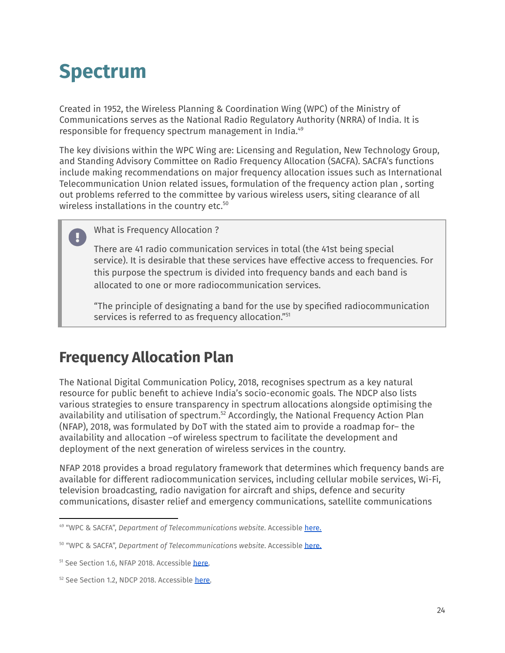# <span id="page-23-0"></span>**Spectrum**

Created in 1952, the Wireless Planning & Coordination Wing (WPC) of the Ministry of Communications serves as the National Radio Regulatory Authority (NRRA) of India. It is responsible for frequency spectrum management in India. 49

The key divisions within the WPC Wing are: Licensing and Regulation, New Technology Group, and Standing Advisory Committee on Radio Frequency Allocation (SACFA). SACFA's functions include making recommendations on major frequency allocation issues such as International Telecommunication Union related issues, formulation of the frequency action plan , sorting out problems referred to the committee by various wireless users, siting clearance of all wireless installations in the country etc. 50

What is Frequency Allocation ?

There are 41 radio communication services in total (the 41st being special service). It is desirable that these services have effective access to frequencies. For this purpose the spectrum is divided into frequency bands and each band is allocated to one or more radiocommunication services.

"The principle of designating a band for the use by specified radiocommunication services is referred to as frequency allocation." 51

### <span id="page-23-1"></span>**Frequency Allocation Plan**

The National Digital Communication Policy, 2018, recognises spectrum as a key natural resource for public benefit to achieve India's socio-economic goals. The NDCP also lists various strategies to ensure transparency in spectrum allocations alongside optimising the availability and utilisation of spectrum.<sup>52</sup> Accordingly, the National Frequency Action Plan (NFAP), 2018, was formulated by DoT with the stated aim to provide a roadmap for– the availability and allocation –of wireless spectrum to facilitate the development and deployment of the next generation of wireless services in the country.

NFAP 2018 provides a broad regulatory framework that determines which frequency bands are available for different radiocommunication services, including cellular mobile services, Wi-Fi, television broadcasting, radio navigation for aircraft and ships, defence and security communications, disaster relief and emergency communications, satellite communications

<sup>49</sup> "WPC & SACFA", *Department of Telecommunications website*. Accessible [here.](https://dot.gov.in/spectrum-management/2457?page=10)

<sup>50</sup> "WPC & SACFA", *Department of Telecommunications website*. Accessible [here.](https://dot.gov.in/spectrum-management/2457?page=10)

<sup>&</sup>lt;sup>51</sup> See Section 1.6, NFAP 2018. Accessible [here.](https://dot.gov.in/whatsnew/national-frequency-allocation-plan-2018)

<sup>&</sup>lt;sup>52</sup> See Section 1.2, NDCP 2018. Accessible [here.](https://dot.gov.in/sites/default/files/2018_10_29%20NDCP%202018_0.pdf)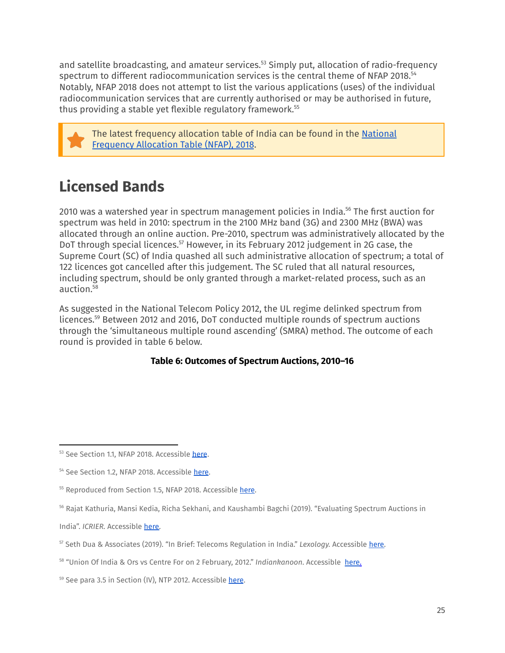and satellite broadcasting, and amateur services.<sup>53</sup> Simply put, allocation of radio-frequency spectrum to different radiocommunication services is the central theme of NFAP 2018. 54 Notably, NFAP 2018 does not attempt to list the various applications (uses) of the individual radiocommunication services that are currently authorised or may be authorised in future, thus providing a stable yet flexible regulatory framework. 55

The latest frequency allocation table of India can be found in the [National](https://dot.gov.in/whatsnew/national-frequency-allocation-plan-2018) [Frequency](https://dot.gov.in/whatsnew/national-frequency-allocation-plan-2018) Allocation Table (NFAP), 2018.

### <span id="page-24-0"></span>**Licensed Bands**

2010 was a watershed year in spectrum management policies in India. $^{\rm 56}$  The first auction for spectrum was held in 2010: spectrum in the 2100 MHz band (3G) and 2300 MHz (BWA) was allocated through an online auction. Pre-2010, spectrum was administratively allocated by the DoT through special licences.<sup>57</sup> However, in its February 2012 judgement in 2G case, the Supreme Court (SC) of India quashed all such administrative allocation of spectrum; a total of 122 licences got cancelled after this judgement. The SC ruled that all natural resources, including spectrum, should be only granted through a market-related process, such as an auction. 58

As suggested in the National Telecom Policy 2012, the UL regime delinked spectrum from licences. $59$  Between 2012 and 2016, DoT conducted multiple rounds of spectrum auctions through the 'simultaneous multiple round ascending' (SMRA) method. The outcome of each round is provided in table 6 below.

### **Table 6: Outcomes of Spectrum Auctions, 2010–16**

<sup>53</sup> See Section 1.1, NFAP 2018. Accessible [here](https://dot.gov.in/whatsnew/national-frequency-allocation-plan-2018).

<sup>54</sup> See Section 1.2, NFAP 2018. Accessible [here](https://dot.gov.in/sites/default/files/Unified%20Licence_0.pdf).

<sup>&</sup>lt;sup>55</sup> Reproduced from Section 1.5, NFAP 2018. Accessible [here](https://dot.gov.in/sites/default/files/Unified%20Licence_0.pdf).

<sup>56</sup> Rajat Kathuria, Mansi Kedia, Richa Sekhani, and Kaushambi Bagchi (2019). "Evaluating Spectrum Auctions in

India". *ICRIER*. Accessible [here.](https://icrier.org/pdf/Evaluating_Spectrum_Auctions_in_India.pdf)

<sup>57</sup> Seth Dua & Associates (2019). "In Brief: Telecoms Regulation in India." *Lexology.* Accessible [here.](https://www.lexology.com/library/detail.aspx?g=45ac7f16-f40c-42ea-b3df-dfe6e357e2c0)

<sup>58</sup> "Union Of India & Ors vs Centre For on 2 February, 2012." *Indiankanoon*. Accessible [here.](https://indiankanoon.org/doc/70191862)

<sup>59</sup> See para 3.5 in Section (IV), NTP 2012. Accessible [here](http://www.dot.gov.in/sites/default/files/NTP-06.06.2012-final.pdf).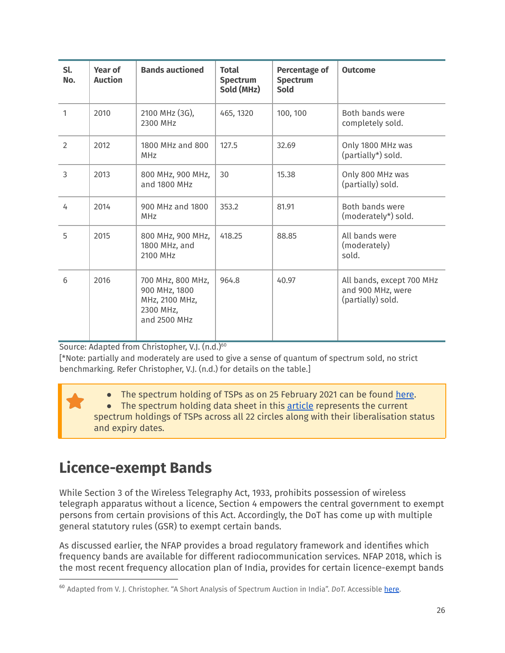| Sl.<br>No.     | <b>Year of</b><br><b>Auction</b> | <b>Bands auctioned</b>                                                            | <b>Total</b><br><b>Spectrum</b><br>Sold (MHz) | <b>Percentage of</b><br><b>Spectrum</b><br><b>Sold</b> | <b>Outcome</b>                                                      |
|----------------|----------------------------------|-----------------------------------------------------------------------------------|-----------------------------------------------|--------------------------------------------------------|---------------------------------------------------------------------|
| 1              | 2010                             | 2100 MHz (3G),<br>2300 MHz                                                        | 465, 1320                                     | 100, 100                                               | Both bands were<br>completely sold.                                 |
| $\overline{2}$ | 2012                             | 1800 MHz and 800<br><b>MHz</b>                                                    | 127.5                                         | 32.69                                                  | Only 1800 MHz was<br>(partially*) sold.                             |
| $\overline{3}$ | 2013                             | 800 MHz, 900 MHz,<br>and 1800 MHz                                                 | 30                                            | 15.38                                                  | Only 800 MHz was<br>(partially) sold.                               |
| 4              | 2014                             | 900 MHz and 1800<br>MHz                                                           | 353.2                                         | 81.91                                                  | Both bands were<br>(moderately*) sold.                              |
| 5              | 2015                             | 800 MHz, 900 MHz,<br>1800 MHz, and<br>2100 MHz                                    | 418.25                                        | 88.85                                                  | All bands were<br>(moderately)<br>sold.                             |
| 6              | 2016                             | 700 MHz, 800 MHz,<br>900 MHz, 1800<br>MHz, 2100 MHz,<br>2300 MHz,<br>and 2500 MHz | 964.8                                         | 40.97                                                  | All bands, except 700 MHz<br>and 900 MHz, were<br>(partially) sold. |

Source: Adapted from Christopher, V.J. (n.d.) 60

[\*Note: partially and moderately are used to give a sense of quantum of spectrum sold, no strict benchmarking. Refer Christopher, V.J. (n.d.) for details on the table.]

• The spectrum holding of TSPs as on 25 February 2021 can be found [here](https://dot.gov.in/spectrummanagement/spectrum-holding-tsps-25-february-2021).

● The spectrum holding data sheet in this [article](https://onlytech.com/india-telecom-spectrum-chart/) represents the current spectrum holdings of TSPs across all 22 circles along with their liberalisation status and expiry dates.

### <span id="page-25-0"></span>**Licence-exempt Bands**

While Section 3 of the Wireless Telegraphy Act, 1933, prohibits possession of wireless telegraph apparatus without a licence, Section 4 empowers the central government to exempt persons from certain provisions of this Act. Accordingly, the DoT has come up with multiple general statutory rules (GSR) to exempt certain bands.

As discussed earlier, the NFAP provides a broad regulatory framework and identifies which frequency bands are available for different radiocommunication services. NFAP 2018, which is the most recent frequency allocation plan of India, provides for certain licence-exempt bands

<sup>&</sup>lt;sup>60</sup> Adapted from V. J. Christopher. "A Short Analysis of Spectrum Auction in India". *DoT*. Accessible [here](https://dot.gov.in/sites/default/files/auction_analysis.pdf).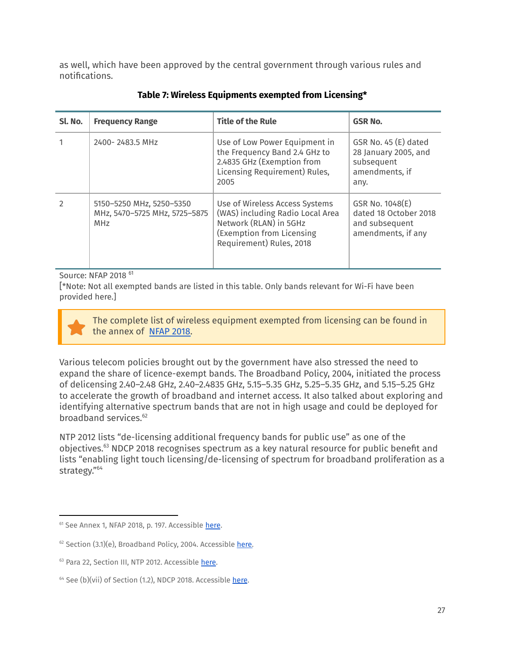as well, which have been approved by the central government through various rules and notifications.

| Sl. No.        | <b>Frequency Range</b>                                                  | <b>Title of the Rule</b>                                                                                                                              | <b>GSR No.</b>                                                                       |
|----------------|-------------------------------------------------------------------------|-------------------------------------------------------------------------------------------------------------------------------------------------------|--------------------------------------------------------------------------------------|
|                | 2400-2483.5 MHz                                                         | Use of Low Power Equipment in<br>the Frequency Band 2.4 GHz to<br>2.4835 GHz (Exemption from<br>Licensing Requirement) Rules,<br>2005                 | GSR No. 45 (E) dated<br>28 January 2005, and<br>subsequent<br>amendments, if<br>any. |
| $\mathfrak{D}$ | 5150-5250 MHz, 5250-5350<br>MHz, 5470-5725 MHz, 5725-5875<br><b>MHz</b> | Use of Wireless Access Systems<br>(WAS) including Radio Local Area<br>Network (RLAN) in 5GHz<br>(Exemption from Licensing<br>Requirement) Rules, 2018 | GSR No. 1048(E)<br>dated 18 October 2018<br>and subsequent<br>amendments, if any     |

**Table 7: Wireless Equipments exempted from Licensing\***

Source: NFAP 2018<sup>61</sup>

[\*Note: Not all exempted bands are listed in this table. Only bands relevant for Wi-Fi have been provided here.]

The complete list of wireless equipment exempted from licensing can be found in the annex of [NFAP](https://dot.gov.in/whatsnew/national-frequency-allocation-plan-2018) 2018.

Various telecom policies brought out by the government have also stressed the need to expand the share of licence-exempt bands. The Broadband Policy, 2004, initiated the process of delicensing 2.40–2.48 GHz, 2.40–2.4835 GHz, 5.15–5.35 GHz, 5.25–5.35 GHz, and 5.15–5.25 GHz to accelerate the growth of broadband and internet access. It also talked about exploring and identifying alternative spectrum bands that are not in high usage and could be deployed for broadband services. 62

NTP 2012 lists "de-licensing additional frequency bands for public use" as one of the objectives.<sup>63</sup> NDCP 2018 recognises spectrum as a key natural resource for public benefit and lists "enabling light touch licensing/de-licensing of spectrum for broadband proliferation as a strategy." 64

<sup>&</sup>lt;sup>61</sup> See Annex 1, NFAP 2018, p. 197. Accessible [here](https://dot.gov.in/sites/default/files/Unified%20Licence_0.pdf).

 $62$  Section (3.1)(e), Broadband Policy, 2004. Accessible [here.](https://dot.gov.in/broadband-policy-2004)

<sup>&</sup>lt;sup>63</sup> Para 22, Section III, NTP 2012. Accessible [here.](http://www.dot.gov.in/sites/default/files/NTP-06.06.2012-final.pdf)

<sup>&</sup>lt;sup>64</sup> See (b)(vii) of Section (1.2), NDCP 2018. Accessible [here](https://dot.gov.in/sites/default/files/Final%20NDCP-2018.pdf?download=1).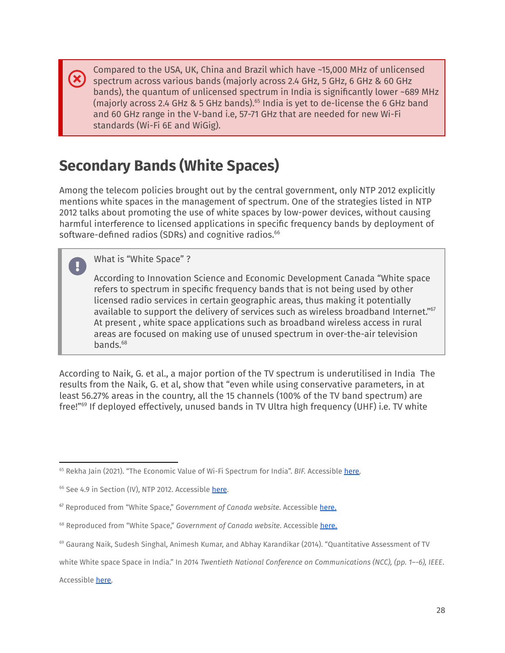Compared to the USA, UK, China and Brazil which have ~15,000 MHz of unlicensed spectrum across various bands (majorly across 2.4 GHz, 5 GHz, 6 GHz & 60 GHz bands), the quantum of unlicensed spectrum in India is significantly lower ~689 MHz (majorly across 2.4 GHz & 5 GHz bands). $^{65}$  India is yet to de-license the 6 GHz band and 60 GHz range in the V-band i.e, 57-71 GHz that are needed for new Wi-Fi standards (Wi-Fi 6E and WiGig).

### <span id="page-27-0"></span>**Secondary Bands (White Spaces)**

Among the telecom policies brought out by the central government, only NTP 2012 explicitly mentions white spaces in the management of spectrum. One of the strategies listed in NTP 2012 talks about promoting the use of white spaces by low-power devices, without causing harmful interference to licensed applications in specific frequency bands by deployment of software-defined radios (SDRs) and cognitive radios. 66

### What is "White Space" ?

According to Innovation Science and Economic Development Canada "White space refers to spectrum in specific frequency bands that is not being used by other licensed radio services in certain geographic areas, thus making it potentially available to support the delivery of services such as wireless broadband Internet." 67 At present , white space applications such as broadband wireless access in rural areas are focused on making use of unused spectrum in over-the-air television bands. 68

According to Naik, G. et al., a major portion of the TV spectrum is underutilised in India The results from the Naik, G. et al, show that "even while using conservative parameters, in at least 56.27% areas in the country, all the 15 channels (100% of the TV band spectrum) are free!"<sup>69</sup> If deployed effectively, unused bands in TV Ultra high frequency (UHF) i.e. TV white

Accessible [here.](http://grammarg.in/wp-content/uploads/2017/01/TVWS-Assessement-India2014.pdf)

<sup>&</sup>lt;sup>65</sup> Rekha Jain (2021). "The Economic Value of Wi-Fi Spectrum for India". BIF. Accessible [here.](https://broadbandindiaforum.in/wp-content/uploads/2021/06/The-Economic-Value-of-Wi-Fi-Spectrum-for-India-online-19-MAY-2021-accessible.pdf)

<sup>&</sup>lt;sup>66</sup> See 4.9 in Section (IV), NTP 2012. Accessible [here](http://www.dot.gov.in/sites/default/files/NTP-06.06.2012-final.pdf).

<sup>67</sup> Reproduced from "White Space," *Government of Canada website*. Accessible [here.](https://www.ic.gc.ca/eic/site/smt-gst.nsf/eng/h_sf10498.html)

<sup>68</sup> Reproduced from "White Space," *Government of Canada website*. Accessible [here.](https://www.ic.gc.ca/eic/site/smt-gst.nsf/eng/h_sf10498.html)

<sup>69</sup> Gaurang Naik, Sudesh Singhal, Animesh Kumar, and Abhay Karandikar (2014). "Quantitative Assessment of TV

white White space Space in India." In *2014 Twentieth National Conference on Communications (NCC), (pp. 1–-6), IEEE*.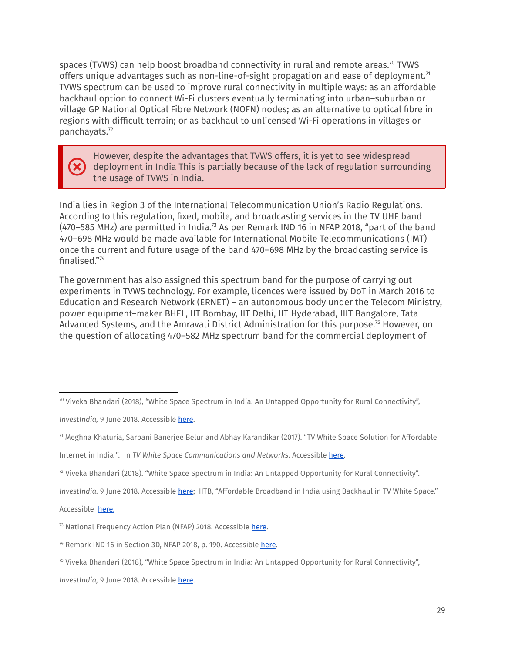spaces (TVWS) can help boost broadband connectivity in rural and remote areas. $^{70}$  TVWS offers unique advantages such as non-line-of-sight propagation and ease of deployment. $^{71}$ TVWS spectrum can be used to improve rural connectivity in multiple ways: as an affordable backhaul option to connect Wi-Fi clusters eventually terminating into urban–suburban or village GP National Optical Fibre Network (NOFN) nodes; as an alternative to optical fibre in regions with difficult terrain; or as backhaul to unlicensed Wi-Fi operations in villages or panchayats. 72

#### However, despite the advantages that TVWS offers, it is yet to see widespread deployment in India This is partially because of the lack of regulation surrounding the usage of TVWS in India.

India lies in Region 3 of the International Telecommunication Union's Radio Regulations. According to this regulation, fixed, mobile, and broadcasting services in the TV UHF band (470–585 MHz) are permitted in India. $^{73}$  As per Remark IND 16 in NFAP 2018, "part of the band 470–698 MHz would be made available for International Mobile Telecommunications (IMT) once the current and future usage of the band 470–698 MHz by the broadcasting service is finalised." 74

The government has also assigned this spectrum band for the purpose of carrying out experiments in TVWS technology. For example, licences were issued by DoT in March 2016 to Education and Research Network (ERNET) – an autonomous body under the Telecom Ministry, power equipment–maker BHEL, IIT Bombay, IIT Delhi, IIT Hyderabad, IIIT Bangalore, Tata Advanced Systems, and the Amravati District Administration for this purpose.<sup>75</sup> However, on the question of allocating 470–582 MHz spectrum band for the commercial deployment of

*InvestIndia*, 9 June 2018. Accessible [here](https://www.investindia.gov.in/team-india-blogs/white-space-spectrum-india-untapped-opportunity-rural-connectivity).

 $\frac{72}{12}$  Viveka Bhandari (2018). "White Space Spectrum in India: An Untapped Opportunity for Rural Connectivity".

*InvestIndia.* 9 June 2018. Accessible [here](https://www.investindia.gov.in/team-india-blogs/white-space-spectrum-india-untapped-opportunity-rural-connectivity); IITB, "Affordable Broadband in India using Backhaul in TV White Space."

Accessible [here](https://www.ee.iitb.ac.in/tvws/index.html).

 $70$  Viveka Bhandari (2018), "White Space Spectrum in India: An Untapped Opportunity for Rural Connectivity",

<sup>71</sup> Meghna Khaturia, Sarbani Banerjee Belur and Abhay Karandikar (2017). "TV White Space Solution for Affordable

Internet in India ". In *TV White Space Communications and Networks*. Accessible [here.](https://jadeite.co.in/wp-content/uploads/2019/10/Paper-13_TVWhiteSpace_chapter-Karandikar.pdf)

<sup>&</sup>lt;sup>73</sup> National Frequency Action Plan (NFAP) 2018. Accessible [here](https://dot.gov.in/sites/default/files/NFAP%202018.pdf?download=1).

<sup>&</sup>lt;sup>74</sup> Remark IND 16 in Section 3D, NFAP 2018, p. 190. Accessible [here.](https://dot.gov.in/sites/default/files/NFAP%202018.pdf?download=1)

 $75$  Viveka Bhandari (2018), "White Space Spectrum in India: An Untapped Opportunity for Rural Connectivity",

*InvestIndia,* 9 June 2018. Accessible [here](https://www.investindia.gov.in/team-india-blogs/white-space-spectrum-india-untapped-opportunity-rural-connectivity).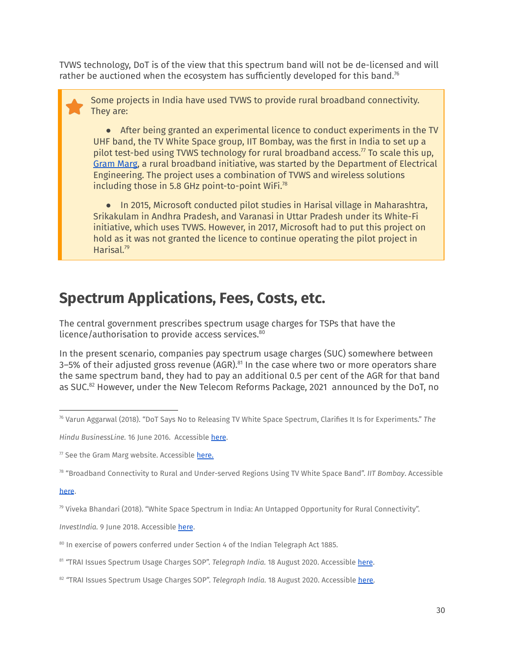TVWS technology, DoT is of the view that this spectrum band will not be de-licensed and will rather be auctioned when the ecosystem has sufficiently developed for this band.<sup>76</sup>

Some projects in India have used TVWS to provide rural broadband connectivity. They are:

● After being granted an experimental licence to conduct experiments in the TV UHF band, the TV White Space group, IIT Bombay, was the first in India to set up a pilot test-bed using TVWS technology for rural broadband access. $<sup>7</sup>$  To scale this up,</sup> [Gram](http://grammarg.in/) Marg, a rural broadband initiative, was started by the Department of Electrical Engineering. The project uses a combination of TVWS and wireless solutions including those in 5.8 GHz point-to-point WiFi. 78

● In 2015, Microsoft conducted pilot studies in Harisal village in Maharashtra, Srikakulam in Andhra Pradesh, and Varanasi in Uttar Pradesh under its White-Fi initiative, which uses TVWS. However, in 2017, Microsoft had to put this project on hold as it was not granted the licence to continue operating the pilot project in Harisal. 79

### <span id="page-29-0"></span>**Spectrum Applications, Fees, Costs, etc.**

The central government prescribes spectrum usage charges for TSPs that have the licence/authorisation to provide access services. 80

In the present scenario, companies pay spectrum usage charges (SUC) somewhere between 3–5% of their adjusted gross revenue (AGR). $^{81}$  In the case where two or more operators share the same spectrum band, they had to pay an additional 0.5 per cent of the AGR for that band as SUC.<sup>82</sup> However, under the New Telecom Reforms Package, 2021 announced by the DoT, no

<sup>78</sup> "Broadband Connectivity to Rural and Under-served Regions Using TV White Space Band". *IIT Bombay*. Accessible

#### [here](https://rnd.iitb.ac.in/research-glimpse/broadband-connectivity-rural-and-under-served-regions-using-tv-white-space-band).

*InvestIndia.* 9 June 2018. Accessible [here](https://www.investindia.gov.in/team-india-blogs/white-space-spectrum-india-untapped-opportunity-rural-connectivity).

<sup>76</sup> Varun Aggarwal (2018). "DoT Says No to Releasing TV White Space Spectrum, Clarifies It Is for Experiments." *The*

*Hindu BusinessLine.* 16 June 2016. Accessible [here](https://www.thehindubusinessline.com/info-tech/dot-says-no-to-releasing-tv-white-space-spectrum-clarifies-it-is-for-experiments/article8737575.ece).

 $77$  See the Gram Marg website. Accessible [here.](http://grammarg.in/#!/technology)

 $79$  Viveka Bhandari (2018). "White Space Spectrum in India: An Untapped Opportunity for Rural Connectivity".

<sup>&</sup>lt;sup>80</sup> In exercise of powers conferred under Section 4 of the Indian Telegraph Act 1885.

<sup>81</sup> *"*TRAI Issues Spectrum Usage Charges SOP". *Telegraph India.* 18 August 2020. Accessible [here](https://www.telegraphindia.com/business/trai-issues-spectrum-usage-charges-sop/cid/1789412).

<sup>82 &</sup>quot;TRAI Issues Spectrum Usage Charges SOP". *Telegraph India*. 18 August 2020. Accessible [here.](https://www.telegraphindia.com/business/trai-issues-spectrum-usage-charges-sop/cid/1789412)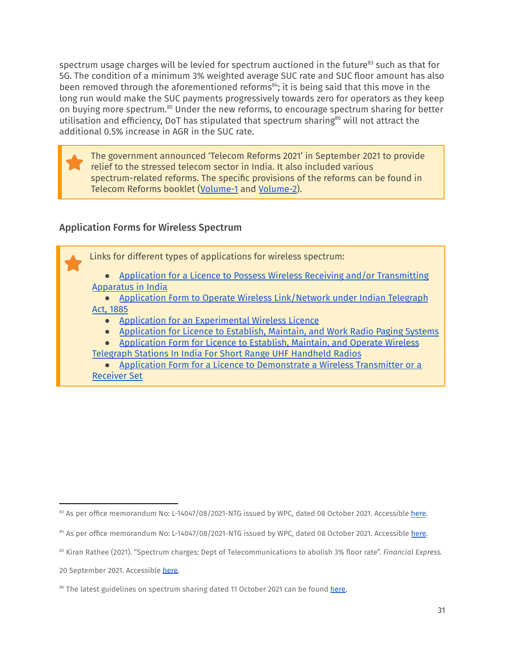spectrum usage charges will be levied for spectrum auctioned in the future $^{\text{83}}$  such as that for 5G. The condition of a minimum 3% weighted average SUC rate and SUC floor amount has also been removed through the aforementioned reforms<sup>84</sup>; it is being said that this move in the long run would make the SUC payments progressively towards zero for operators as they keep on buying more spectrum.<sup>85</sup> Under the new reforms, to encourage spectrum sharing for better utilisation and efficiency, DoT has stipulated that spectrum sharing<sup>86</sup> will not attract the additional 0.5% increase in AGR in the SUC rate.

The government announced 'Telecom Reforms 2021' in September 2021 to provide relief to the stressed telecom sector in India. It also included various spectrum-related reforms. The specific provisions of the reforms can be found in Telecom Reforms booklet [\(Volume-1](https://dot.gov.in/sites/default/files/Telecom%20Reforms%202021%20VOL%201_2.pdf?download=1) and [Volume-2](https://dot.gov.in/sites/default/files/Telecom%20Reforms%202021%20VOL%202_1.pdf?download=1)).

### <span id="page-30-0"></span>Application Forms for Wireless Spectrum



20 September 2021. Accessible [here.](https://www.financialexpress.com/industry/spectrum-charges-dept-of-telecommunications-to-abolish-3-floor-rate/2333471/)

<sup>&</sup>lt;sup>83</sup> As per office memorandum No: L-14047/08/2021-NTG issued by WPC, dated 08 October 2021. Accessible [here.](https://dot.gov.in/sites/default/files/Telecom%20Reforms%202021-booklet%20as%20on%2018102021.pdf)

<sup>84</sup> As per office memorandum No: L-14047/08/2021-NTG issued by WPC, dated 08 October 2021. Accessible [here.](https://dot.gov.in/sites/default/files/Telecom%20Reforms%202021-booklet%20as%20on%2018102021.pdf)

<sup>85</sup> Kiran Rathee (2021). "Spectrum charges: Dept of Telecommunications to abolish 3% floor rate". *Financial Express.*

<sup>&</sup>lt;sup>86</sup> The latest guidelines on spectrum sharing dated 11 October 2021 can be found [here.](https://dot.gov.in/sites/default/files/Sharing%20Guidelines%2011%20Oct%202021.pdf)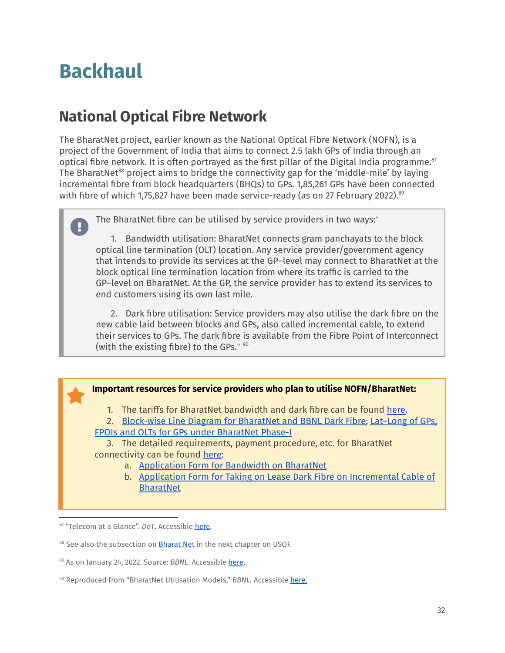# <span id="page-31-0"></span>**Backhaul**

### <span id="page-31-1"></span>**National Optical Fibre Network**

The BharatNet project, earlier known as the National Optical Fibre Network (NOFN), is a project of the Government of India that aims to connect 2.5 lakh GPs of India through an optical fibre network. It is often portrayed as the first pillar of the Digital India programme. 87 The BharatNet<sup>88</sup> project aims to bridge the connectivity gap for the 'middle-mile' by laying incremental fibre from block headquarters (BHQs) to GPs. 1,85,261 GPs have been connected with fibre of which 1,75,827 have been made service-ready (as on 27 February 2022). 89

The BharatNet fibre can be utilised by service providers in two ways:"

1. Bandwidth utilisation: BharatNet connects gram panchayats to the block optical line termination (OLT) location. Any service provider/government agency that intends to provide its services at the GP–level may connect to BharatNet at the block optical line termination location from where its traffic is carried to the GP–level on BharatNet. At the GP, the service provider has to extend its services to end customers using its own last mile.

2. Dark fibre utilisation: Service providers may also utilise the dark fibre on the new cable laid between blocks and GPs, also called incremental cable, to extend their services to GPs. The dark fibre is available from the Fibre Point of Interconnect (with the existing fibre) to the GPs." 90

**Important resources for service providers who plan to utilise NOFN/BharatNet:**

1. The tariffs for BharatNet bandwidth and dark fibre can be found [here.](http://bbnl.nic.in/index1.aspx?lsid=673&lev=2&lid=538&langid=1)

2. [Block-wise](http://www.bbnl.nic.in/showurl.aspx?lsid=722&lev=2&lid=576&langid=1) Line Diagram for BharatNet and BBNL Dark Fibre; [Lat–Long](http://bbnl.nic.in/index1.aspx?lsid=652&lev=2&lid=526&langid=1) of GPs, FPOIs and OLTs for GPs under [BharatNet](http://bbnl.nic.in/index1.aspx?lsid=652&lev=2&lid=526&langid=1) Phase-I

3. The detailed requirements, payment procedure, etc. for BharatNet connectivity can be found [here:](http://bbnl.nic.in/index1.aspx?lsid=718&lev=2&lid=572&langid=1)

- a. [Application](http://www.bbnl.nic.in//admnis/admin/showimg.aspx?ID=1411) Form for Bandwidth on BharatNet
- b. Application Form for Taking on Lease Dark Fibre on [Incremental](http://www.bbnl.nic.in//admnis/admin/showimg.aspx?ID=1009) Cable of **[BharatNet](http://www.bbnl.nic.in//admnis/admin/showimg.aspx?ID=1009)**

87 "Telecom at a Glance". DoT. Accessible [here.](https://dot.gov.in/telecom-glance)

88 See also the subsection on **[Bharat](#page-36-1) Net** in the next chapter on USOF.

<sup>89</sup> As on January 24, 2022. Source: *BBNL*. Accessible [here](https://bbnl.nic.in/index.aspx).

<sup>&</sup>lt;sup>90</sup> Reproduced from "BharatNet Utilisation Models," *BBNL*. Accessible [here](http://www.bbnl.nic.in/index1.aspx?lsid=725&lev=2&lid=577&langid=1).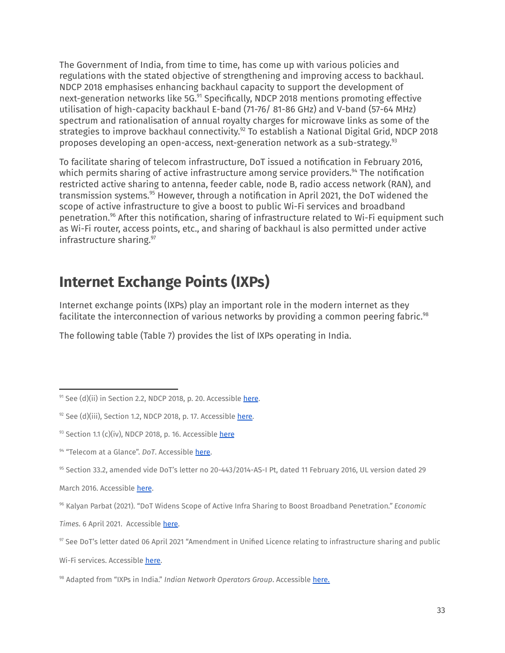The Government of India, from time to time, has come up with various policies and regulations with the stated objective of strengthening and improving access to backhaul. NDCP 2018 emphasises enhancing backhaul capacity to support the development of next-generation networks like 5G.<sup>91</sup> Specifically, NDCP 2018 mentions promoting effective utilisation of high-capacity backhaul E-band (71-76/ 81-86 GHz) and V-band (57-64 MHz) spectrum and rationalisation of annual royalty charges for microwave links as some of the strategies to improve backhaul connectivity. $^{92}$  To establish a National Digital Grid, NDCP 2018 proposes developing an open-access, next-generation network as a sub-strategy. 93

To facilitate sharing of telecom infrastructure, DoT issued a notification in February 2016, which permits sharing of active infrastructure among service providers.<sup>94</sup> The notification restricted active sharing to antenna, feeder cable, node B, radio access network (RAN), and transmission systems.<sup>95</sup> However, through a notification in April 2021, the DoT widened the scope of active infrastructure to give a boost to public Wi-Fi services and broadband penetration.<sup>96</sup> After this notification, sharing of infrastructure related to Wi-Fi equipment such as Wi-Fi router, access points, etc., and sharing of backhaul is also permitted under active infrastructure sharing. 97

### <span id="page-32-0"></span>**Internet Exchange Points (IXPs)**

Internet exchange points (IXPs) play an important role in the modern internet as they facilitate the interconnection of various networks by providing a common peering fabric. 98

The following table (Table 7) provides the list of IXPs operating in India.

<sup>95</sup> Section 33.2, amended vide DoT's letter no 20-443/2014-AS-I Pt, dated 11 February 2016, UL version dated 29

March 2016. Accessible [here](https://dot.gov.in/sites/default/files/2016_03_30%20UL-AS-I.pdf?download=1).

*Times*. 6 April 2021. Accessible [here.](https://economictimes.indiatimes.com/industry/telecom/telecom-news/dot-widens-scope-of-active-infra-sharing-to-boost-broadband-penetration/articleshow/81935288.cms?from=mdr)

Wi-Fi services. Accessible [here.](https://dot.gov.in/sites/default/files/Infrastructure%20sharing-UASL-06042021.pdf?download=1)

 $91$  See (d)(ii) in Section 2.2, NDCP 2018, p. 20. Accessible [here](https://dot.gov.in/sites/default/files/Final%20NDCP-2018.pdf?download=1).

 $92$  See (d)(iii), Section 1.2, NDCP 2018, p. 17. Accessible [here](https://dot.gov.in/sites/default/files/Final%20NDCP-2018.pdf?download=1).

 $93$  Section 1.1 (c)(iv), NDCP 2018, p. 16. Accessible [here](https://dot.gov.in/sites/default/files/Final%20NDCP-2018.pdf?download=1)

<sup>&</sup>lt;sup>94</sup> "Telecom at a Glance". DoT. Accessible [here](https://dot.gov.in/telecom-glance).

<sup>96</sup> Kalyan Parbat (2021). "DoT Widens Scope of Active Infra Sharing to Boost Broadband Penetration*." Economic*

<sup>97</sup> See DoT's letter dated 06 April 2021 "Amendment in Unified Licence relating to infrastructure sharing and public

<sup>98</sup> Adapted from "IXPs in India." *Indian Network Operators Group*. Accessible [here.](https://innog.net/resources/ixps/)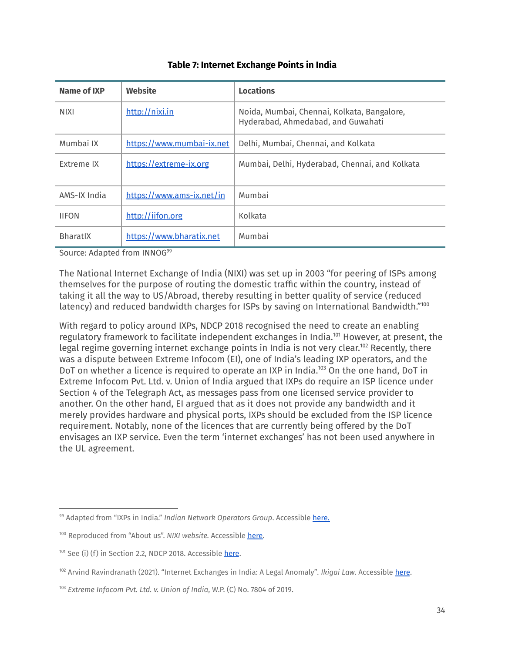| Name of IXP       | Website                   | <b>Locations</b>                                                                  |
|-------------------|---------------------------|-----------------------------------------------------------------------------------|
| <b>NIXI</b>       | http://nixi.in            | Noida, Mumbai, Chennai, Kolkata, Bangalore,<br>Hyderabad, Ahmedabad, and Guwahati |
| Mumbai IX         | https://www.mumbai-ix.net | Delhi, Mumbai, Chennai, and Kolkata                                               |
| <b>Extreme IX</b> | https://extreme-ix.org    | Mumbai, Delhi, Hyderabad, Chennai, and Kolkata                                    |
| AMS-IX India      | https://www.ams-ix.net/in | Mumbai                                                                            |
| <b>IIFON</b>      | http://iifon.org          | Kolkata                                                                           |
| <b>BharatIX</b>   | https://www.bharatix.net  | Mumbai                                                                            |

#### **Table 7: Internet Exchange Points in India**

Source: Adapted from INNOG<sup>99</sup>

The National Internet Exchange of India (NIXI) was set up in 2003 "for peering of ISPs among themselves for the purpose of routing the domestic traffic within the country, instead of taking it all the way to US/Abroad, thereby resulting in better quality of service (reduced latency) and reduced bandwidth charges for ISPs by saving on International Bandwidth."<sup>100</sup>

With regard to policy around IXPs, NDCP 2018 recognised the need to create an enabling regulatory framework to facilitate independent exchanges in India.<sup>101</sup> However, at present, the legal regime governing internet exchange points in India is not very clear.<sup>102</sup> Recently, there was a dispute between Extreme Infocom (EI), one of India's leading IXP operators, and the DoT on whether a licence is required to operate an IXP in India.<sup>103</sup> On the one hand, DoT in Extreme Infocom Pvt. Ltd. v. Union of India argued that IXPs do require an ISP licence under Section 4 of the Telegraph Act, as messages pass from one licensed service provider to another. On the other hand, EI argued that as it does not provide any bandwidth and it merely provides hardware and physical ports, IXPs should be excluded from the ISP licence requirement. Notably, none of the licences that are currently being offered by the DoT envisages an IXP service. Even the term 'internet exchanges' has not been used anywhere in the UL agreement.

<sup>99</sup> Adapted from "IXPs in India." *Indian Network Operators Group*. Accessible [here](https://innog.net/resources/ixps/).

<sup>100</sup> Reproduced from "About us". *NIXI website.* Accessible [here.](https://nixi.in/nc-about-us/)

 $101$  See (i) (f) in Section 2.2, NDCP 2018. Accessible [here](https://dot.gov.in/sites/default/files/Final%20NDCP-2018.pdf?download=1).

<sup>102</sup> Arvind Ravindranath (2021). "Internet Exchanges in India: A Legal Anomaly"*. Ikigai Law*. Accessible [here](https://www.ikigailaw.com/internet-exchanges-in-india-a-legal-anomaly/#acceptLicense).

<sup>103</sup> *Extreme Infocom Pvt. Ltd. v. Union of India*, W.P. (C) No. 7804 of 2019.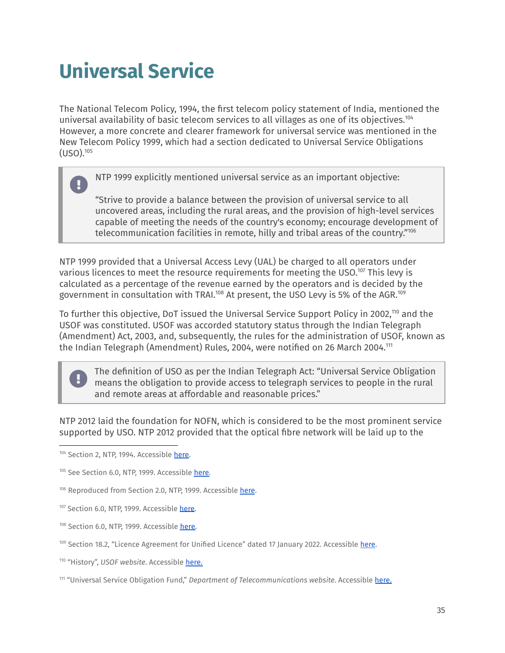# <span id="page-34-0"></span>**Universal Service**

The National Telecom Policy, 1994, the first telecom policy statement of India, mentioned the universal availability of basic telecom services to all villages as one of its objectives. 104 However, a more concrete and clearer framework for universal service was mentioned in the New Telecom Policy 1999, which had a section dedicated to Universal Service Obligations (USO). 105

NTP 1999 explicitly mentioned universal service as an important objective:

"Strive to provide a balance between the provision of universal service to all uncovered areas, including the rural areas, and the provision of high-level services capable of meeting the needs of the country's economy; encourage development of telecommunication facilities in remote, hilly and tribal areas of the country." 106

NTP 1999 provided that a Universal Access Levy (UAL) be charged to all operators under various licences to meet the resource requirements for meeting the USO.<sup>107</sup> This levy is calculated as a percentage of the revenue earned by the operators and is decided by the government in consultation with TRAI. $^{108}$  At present, the USO Levy is 5% of the AGR. $^{109}$ 

To further this objective, DoT issued the Universal Service Support Policy in 2002,110 and the USOF was constituted. USOF was accorded statutory status through the Indian Telegraph (Amendment) Act, 2003, and, subsequently, the rules for the administration of USOF, known as the Indian Telegraph (Amendment) Rules, 2004, were notified on 26 March 2004. $^{\scriptscriptstyle 111}$ 

The definition of USO as per the Indian Telegraph Act: "Universal Service Obligation means the obligation to provide access to telegraph services to people in the rural and remote areas at affordable and reasonable prices."

NTP 2012 laid the foundation for NOFN, which is considered to be the most prominent service supported by USO. NTP 2012 provided that the optical fibre network will be laid up to the

- 107 Section 6.0, NTP, 1999. Accessible [here](https://dot.gov.in/new-telecom-policy-1999).
- <sup>108</sup> Section 6.0, NTP, 1999. Accessible [here.](https://dot.gov.in/new-telecom-policy-1999)
- 109 Section 18.2, "Licence Agreement for Unified Licence" dated 17 January 2022. Accessible [here](https://dot.gov.in/sites/default/files/1%20UL%20AGREEMENT%20with%20Audiotex%20M2M%20without%20INSAT%20MSSR%2017012022.pdf?download=1).
- <sup>110</sup> "History", *USOF website*. Accessible [here](http://usof.gov.in/usof-cms/usof-history.jsp).

<sup>104</sup> Section 2, NTP, 1994. Accessible [here](https://dot.gov.in/national-telecom-policy-1994).

<sup>105</sup> See Section 6.0, NTP, 1999. Accessible [here.](https://dot.gov.in/new-telecom-policy-1999)

<sup>106</sup> Reproduced from Section 2.0, NTP, 1999. Accessible [here](https://dot.gov.in/new-telecom-policy-1999).

<sup>111</sup> "Universal Service Obligation Fund," *Department of Telecommunications website*. Accessible [here.](https://dot.gov.in/universal-service-obligation-fund-usof)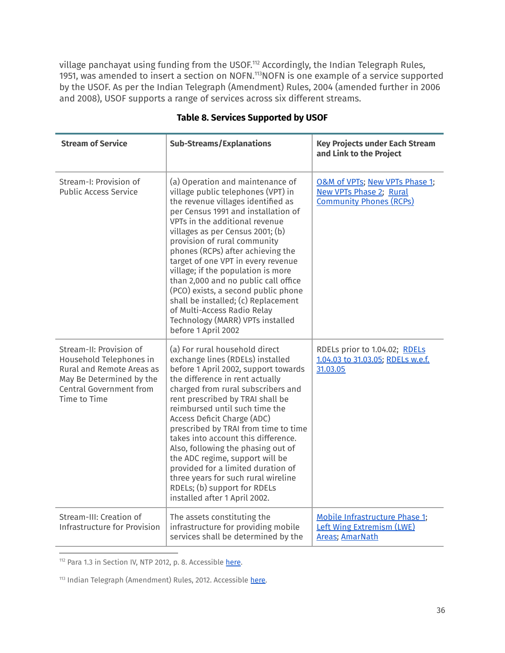village panchayat using funding from the USOF.<sup>112</sup> Accordingly, the Indian Telegraph Rules, 1951, was amended to insert a section on NOFN. $113$ NOFN is one example of a service supported by the USOF. As per the Indian Telegraph (Amendment) Rules, 2004 (amended further in 2006 and 2008), USOF supports a range of services across six different streams.

| <b>Stream of Service</b>                                                                                                                                      | <b>Sub-Streams/Explanations</b>                                                                                                                                                                                                                                                                                                                                                                                                                                                                                                                                                                | <b>Key Projects under Each Stream</b><br>and Link to the Project                                     |
|---------------------------------------------------------------------------------------------------------------------------------------------------------------|------------------------------------------------------------------------------------------------------------------------------------------------------------------------------------------------------------------------------------------------------------------------------------------------------------------------------------------------------------------------------------------------------------------------------------------------------------------------------------------------------------------------------------------------------------------------------------------------|------------------------------------------------------------------------------------------------------|
| Stream-I: Provision of<br><b>Public Access Service</b>                                                                                                        | (a) Operation and maintenance of<br>village public telephones (VPT) in<br>the revenue villages identified as<br>per Census 1991 and installation of<br>VPTs in the additional revenue<br>villages as per Census 2001; (b)<br>provision of rural community<br>phones (RCPs) after achieving the<br>target of one VPT in every revenue<br>village; if the population is more<br>than 2,000 and no public call office<br>(PCO) exists, a second public phone<br>shall be installed; (c) Replacement<br>of Multi-Access Radio Relay<br>Technology (MARR) VPTs installed<br>before 1 April 2002     | O&M of VPTs; New VPTs Phase 1;<br><b>New VPTs Phase 2; Rural</b><br><b>Community Phones (RCPs)</b>   |
| Stream-II: Provision of<br>Household Telephones in<br>Rural and Remote Areas as<br>May Be Determined by the<br><b>Central Government from</b><br>Time to Time | (a) For rural household direct<br>exchange lines (RDELs) installed<br>before 1 April 2002, support towards<br>the difference in rent actually<br>charged from rural subscribers and<br>rent prescribed by TRAI shall be<br>reimbursed until such time the<br>Access Deficit Charge (ADC)<br>prescribed by TRAI from time to time<br>takes into account this difference.<br>Also, following the phasing out of<br>the ADC regime, support will be<br>provided for a limited duration of<br>three years for such rural wireline<br>RDELs; (b) support for RDELs<br>installed after 1 April 2002. | RDELs prior to 1.04.02; RDELs<br>1.04.03 to 31.03.05; RDELs w.e.f.<br>31.03.05                       |
| Stream-III: Creation of<br>Infrastructure for Provision                                                                                                       | The assets constituting the<br>infrastructure for providing mobile<br>services shall be determined by the                                                                                                                                                                                                                                                                                                                                                                                                                                                                                      | <b>Mobile Infrastructure Phase 1;</b><br><b>Left Wing Extremism (LWE)</b><br><b>Areas</b> ; AmarNath |

### **Table 8. Services Supported by USOF**

112 Para 1.3 in Section IV, NTP 2012, p. 8. Accessible [here](http://www.dot.gov.in/sites/default/files/NTP-06.06.2012-final.pdf).

<sup>113</sup> Indian Telegraph (Amendment) Rules, 2012. Accessible <u>here</u>.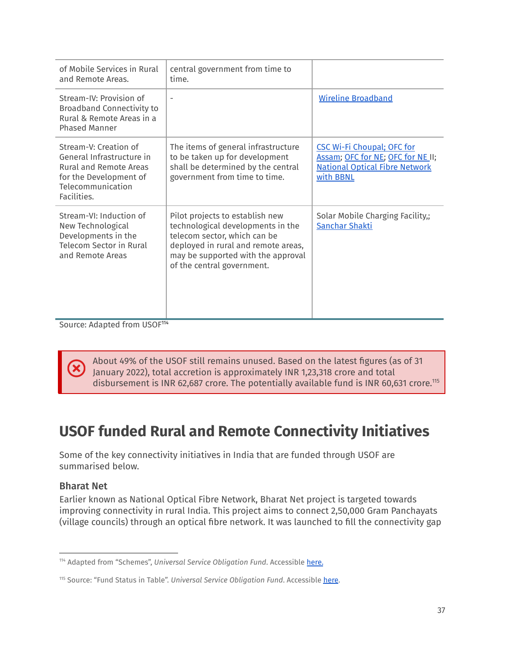| of Mobile Services in Rural<br>and Remote Areas.                                                                                                  | central government from time to<br>time.                                                                                                                                                                        |                                                                                                                              |
|---------------------------------------------------------------------------------------------------------------------------------------------------|-----------------------------------------------------------------------------------------------------------------------------------------------------------------------------------------------------------------|------------------------------------------------------------------------------------------------------------------------------|
| Stream-IV: Provision of<br><b>Broadband Connectivity to</b><br>Rural & Remote Areas in a<br><b>Phased Manner</b>                                  | $\overline{\phantom{0}}$                                                                                                                                                                                        | <b>Wireline Broadband</b>                                                                                                    |
| Stream-V: Creation of<br>General Infrastructure in<br><b>Rural and Remote Areas</b><br>for the Development of<br>Telecommunication<br>Facilities. | The items of general infrastructure<br>to be taken up for development<br>shall be determined by the central<br>government from time to time.                                                                    | <b>CSC Wi-Fi Choupal; OFC for</b><br>Assam; OFC for NE; OFC for NE II;<br><b>National Optical Fibre Network</b><br>with BBNL |
| Stream-VI: Induction of<br>New Technological<br>Developments in the<br><b>Telecom Sector in Rural</b><br>and Remote Areas                         | Pilot projects to establish new<br>technological developments in the<br>telecom sector, which can be<br>deployed in rural and remote areas,<br>may be supported with the approval<br>of the central government. | Solar Mobile Charging Facility,;<br><b>Sanchar Shakti</b>                                                                    |

Source: Adapted from USOF<sup>114</sup>

About 49% of the USOF still remains unused. Based on the latest figures (as of 31 January 2022), total accretion is approximately INR 1,23,318 crore and total disbursement is INR 62,687 crore. The potentially available fund is INR 60,631 crore.<sup>115</sup>

### <span id="page-36-0"></span>**USOF funded Rural and Remote Connectivity Initiatives**

Some of the key connectivity initiatives in India that are funded through USOF are summarised below.

### <span id="page-36-1"></span>Bharat Net

Earlier known as National Optical Fibre Network, Bharat Net project is targeted towards improving connectivity in rural India. This project aims to connect 2,50,000 Gram Panchayats (village councils) through an optical fibre network. It was launched to fill the connectivity gap

<sup>114</sup> Adapted from "Schemes", *Universal Service Obligation Fund*. Accessible [here](http://usof.gov.in/usof-cms/usof-stream.jsp).

<sup>115</sup> Source: "Fund Status in Table". *Universal Service Obligation Fund*. Accessible [here](http://usof.gov.in/usof-cms/usof-fund-status-table.jsp).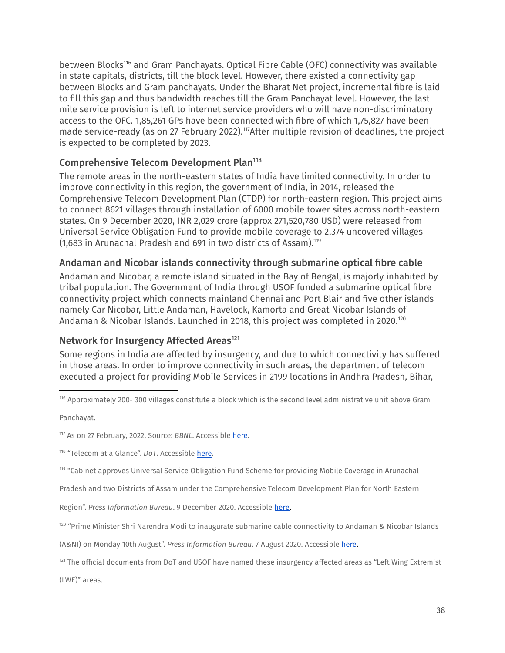between Blocks<sup>116</sup> and Gram Panchayats. Optical Fibre Cable (OFC) connectivity was available in state capitals, districts, till the block level. However, there existed a connectivity gap between Blocks and Gram panchayats. Under the Bharat Net project, incremental fibre is laid to fill this gap and thus bandwidth reaches till the Gram Panchayat level. However, the last mile service provision is left to internet service providers who will have non-discriminatory access to the OFC. 1,85,261 GPs have been connected with fibre of which 1,75,827 have been made service-ready (as on 27 February 2022). $117$ After multiple revision of deadlines, the project is expected to be completed by 2023.

### <span id="page-37-0"></span>Comprehensive Telecom Development Plan 118

The remote areas in the north-eastern states of India have limited connectivity. In order to improve connectivity in this region, the government of India, in 2014, released the Comprehensive Telecom Development Plan (CTDP) for north-eastern region. This project aims to connect 8621 villages through installation of 6000 mobile tower sites across north-eastern states. On 9 December 2020, INR 2,029 crore (approx 271,520,780 USD) were released from Universal Service Obligation Fund to provide mobile coverage to 2,374 uncovered villages (1,683 in Arunachal Pradesh and 691 in two districts of Assam). 119

### <span id="page-37-1"></span>Andaman and Nicobar islands connectivity through submarine optical fibre cable

Andaman and Nicobar, a remote island situated in the Bay of Bengal, is majorly inhabited by tribal population. The Government of India through USOF funded a submarine optical fibre connectivity project which connects mainland Chennai and Port Blair and five other islands namely Car Nicobar, Little Andaman, Havelock, Kamorta and Great Nicobar Islands of Andaman & Nicobar Islands. Launched in 2018, this project was completed in 2020. 120

### <span id="page-37-2"></span>Network for Insurgency Affected Areas<sup>121</sup>

Some regions in India are affected by insurgency, and due to which connectivity has suffered in those areas. In order to improve connectivity in such areas, the department of telecom executed a project for providing Mobile Services in 2199 locations in Andhra Pradesh, Bihar,

<sup>116</sup> Approximately 200- 300 villages constitute a block which is the second level administrative unit above Gram

Panchayat.

Pradesh and two Districts of Assam under the Comprehensive Telecom Development Plan for North Eastern

Region". *Press Information Bureau*. 9 December 2020. Accessible [here](https://pib.gov.in/PressReleasePage.aspx?PRID=1679338).

<sup>120</sup> "Prime Minister Shri Narendra Modi to inaugurate submarine cable connectivity to Andaman & Nicobar Islands

(A&NI) on Monday 10th August". *Press Information Bureau*. 7 August 2020. Accessible [here](https://pib.gov.in/PressReleasePage.aspx?PRID=1644067).

121 The official documents from DoT and USOF have named these insurgency affected areas as "Left Wing Extremist

(LWE)" areas.

<sup>117</sup> As on 27 February, 2022. Source: BBNL. Accessible [here](https://bbnl.nic.in/index.aspx).

<sup>118</sup> "Telecom at a Glance". *DoT*. Accessible [here.](https://dot.gov.in/sites/default/files/Telecom%20at%20a%20Glance-2019.pdf?download=1)

<sup>119 &</sup>quot;Cabinet approves Universal Service Obligation Fund Scheme for providing Mobile Coverage in Arunachal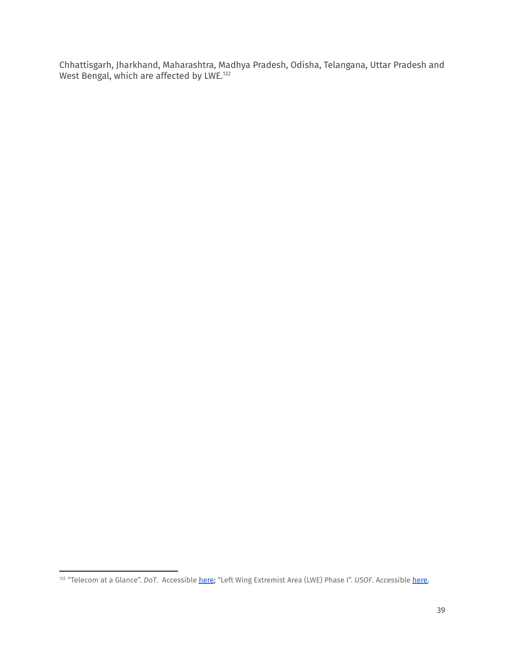Chhattisgarh, Jharkhand, Maharashtra, Madhya Pradesh, Odisha, Telangana, Uttar Pradesh and West Bengal, which are affected by LWE.<sup>122</sup>

<sup>122</sup> "Telecom at a Glance". *DoT*. Accessible [here](https://dot.gov.in/sites/default/files/Telecom%20at%20a%20Glance-2019.pdf?download=1); "Left Wing Extremist Area (LWE) Phase I". *USOF*. Accessible [here.](http://usof.gov.in/usof-cms/LWE_Phase_I.jsp)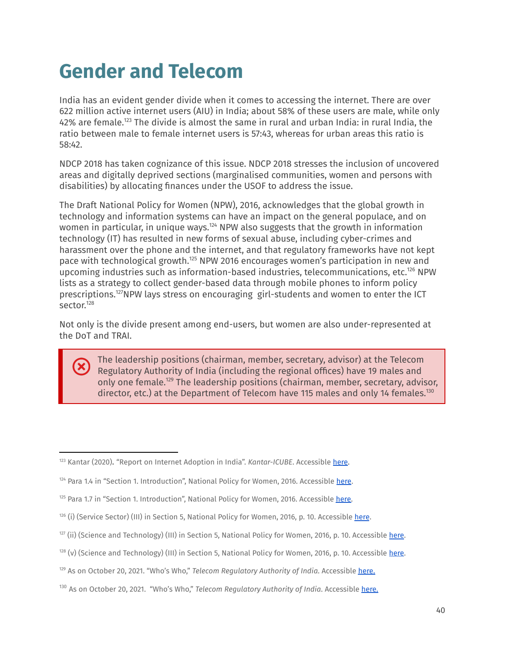# <span id="page-39-0"></span>**Gender and Telecom**

India has an evident gender divide when it comes to accessing the internet. There are over 622 million active internet users (AIU) in India; about 58% of these users are male, while only  $42\%$  are female. $^{123}$  The divide is almost the same in rural and urban India: in rural India, the ratio between male to female internet users is 57:43, whereas for urban areas this ratio is 58:42.

NDCP 2018 has taken cognizance of this issue. NDCP 2018 stresses the inclusion of uncovered areas and digitally deprived sections (marginalised communities, women and persons with disabilities) by allocating finances under the USOF to address the issue.

The Draft National Policy for Women (NPW), 2016, acknowledges that the global growth in technology and information systems can have an impact on the general populace, and on women in particular, in unique ways. $124$  NPW also suggests that the growth in information technology (IT) has resulted in new forms of sexual abuse, including cyber-crimes and harassment over the phone and the internet, and that regulatory frameworks have not kept pace with technological growth.<sup>125</sup> NPW 2016 encourages women's participation in new and upcoming industries such as information-based industries, telecommunications, etc. <sup>126</sup> NPW lists as a strategy to collect gender-based data through mobile phones to inform policy prescriptions.<sup>127</sup>NPW lays stress on encouraging girl-students and women to enter the ICT sector. 128

Not only is the divide present among end-users, but women are also under-represented at the DoT and TRAI.

The leadership positions (chairman, member, secretary, advisor) at the Telecom Regulatory Authority of India (including the regional offices) have 19 males and only one female.<sup>129</sup> The leadership positions (chairman, member, secretary, advisor, director, etc.) at the Department of Telecom have 115 males and only 14 females.<sup>130</sup>

<sup>123</sup> Kantar (2020). "Report on Internet Adoption in India". *Kantar-ICUBE*. Accessible [here.](https://images.assettype.com/afaqs/2021-06/b9a3220f-ae2f-43db-a0b4-36a372b243c4/KANTAR_ICUBE_2020_Report_C1.pdf)

 $124$  Para 1.4 in "Section 1. Introduction", National Policy for Women, 2016. Accessible [here](https://wcd.nic.in/sites/default/files/draft%20national%20policy%20for%20women%202016_0.pdf).

 $125$  Para 1.7 in "Section 1. Introduction", National Policy for Women, 2016. Accessible [here.](https://wcd.nic.in/sites/default/files/draft%20national%20policy%20for%20women%202016_0.pdf)

<sup>&</sup>lt;sup>126</sup> (i) (Service Sector) (III) in Section 5, National Policy for Women, 2016, p. 10. Accessible <u>[here](https://wcd.nic.in/sites/default/files/draft%20national%20policy%20for%20women%202016_0.pdf)</u>.

<sup>1&</sup>lt;sup>27</sup> (ii) (Science and Technology) (III) in Section 5, National Policy for Women, 2016, p. 10. Accessible <u>[here](https://wcd.nic.in/sites/default/files/draft%20national%20policy%20for%20women%202016_0.pdf)</u>.

<sup>&</sup>lt;sup>128</sup> (v) (Science and Technology) (III) in Section 5, National Policy for Women, 2016, p. 10. Accessible <u>[here](https://wcd.nic.in/sites/default/files/draft%20national%20policy%20for%20women%202016_0.pdf)</u>.

<sup>129</sup> As on October 20, 2021. "Who's Who," *Telecom Regulatory Authority of India*. Accessible [here.](https://trai.gov.in/about-us/whos-who)

<sup>130</sup> As on October 20, 2021. "Who's Who," *Telecom Regulatory Authority of India*. Accessible [here.](https://trai.gov.in/about-us/whos-who)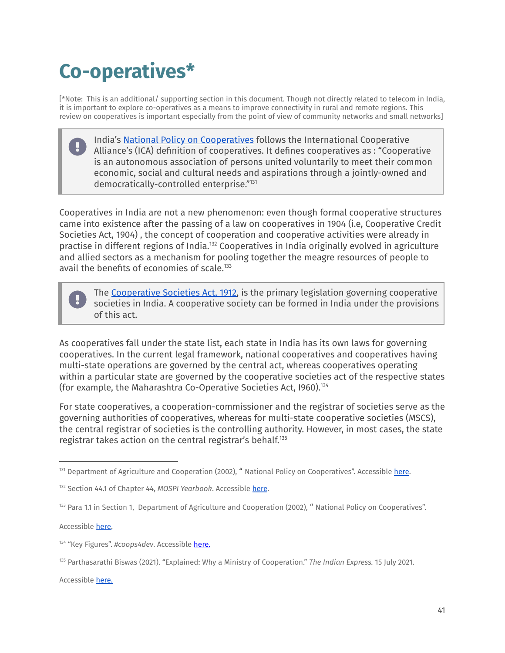# <span id="page-40-0"></span>**Co-operatives\***

[\*Note: This is an additional/ supporting section in this document. Though not directly related to telecom in India, it is important to explore co-operatives as a means to improve connectivity in rural and remote regions. This review on cooperatives is important especially from the point of view of community networks and small networks]

| India's National Policy on Cooperatives follows the International Cooperative          |
|----------------------------------------------------------------------------------------|
| Alliance's (ICA) definition of cooperatives. It defines cooperatives as : "Cooperative |
| is an autonomous association of persons united voluntarily to meet their common        |
| economic, social and cultural needs and aspirations through a jointly-owned and        |
| democratically-controlled enterprise."131                                              |

Cooperatives in India are not a new phenomenon: even though formal cooperative structures came into existence after the passing of a law on cooperatives in 1904 (i.e, Cooperative Credit Societies Act, 1904) , the concept of cooperation and cooperative activities were already in practise in different regions of India.<sup>132</sup> Cooperatives in India originally evolved in agriculture and allied sectors as a mechanism for pooling together the meagre resources of people to avail the benefits of economies of scale. 133



The [Cooperative](https://legislative.gov.in/sites/default/files/A1912-02.pdf) Societies Act, 1912, is the primary legislation governing cooperative societies in India. A cooperative society can be formed in India under the provisions of this act.

As cooperatives fall under the state list, each state in India has its own laws for governing cooperatives. In the current legal framework, national cooperatives and cooperatives having multi-state operations are governed by the central act, whereas cooperatives operating within a particular state are governed by the cooperative societies act of the respective states (for example, the Maharashtra Co-Operative Societies Act, I960). 134

For state cooperatives, a cooperation-commissioner and the registrar of societies serve as the governing authorities of cooperatives, whereas for multi-state cooperative societies (MSCS), the central registrar of societies is the controlling authority. However, in most cases, the state registrar takes action on the central registrar's behalf. 135

Accessible [here.](https://mscs.dac.gov.in/Form/NatPolicy02.pdf)

Accessible [here.](https://indianexpress.com/article/explained/explained-why-a-cooperation-ministry-7395784/)

<sup>&</sup>lt;sup>131</sup> Department of Agriculture and Cooperation (2002), " National Policy on Cooperatives". Accessible [here](https://mscs.dac.gov.in/Form/NatPolicy02.pdf).

<sup>132</sup> Section 44.1 of Chapter 44, *MOSPI Yearbook*. Accessible [here](http://mospi.nic.in/sites/default/files/Statistical_year_book_india_chapters/ch44.pdf).

<sup>&</sup>lt;sup>133</sup> Para 1.1 in Section 1, Department of Agriculture and Cooperation (2002), "National Policy on Cooperatives".

<sup>134</sup> "Key Figures". *#coops4dev*. Accessible [here.](https://coops4dev.coop/en/4devasia/india)

<sup>135</sup> Parthasarathi Biswas (2021). "Explained: Why a Ministry of Cooperation." *The Indian Express.* 15 July 2021.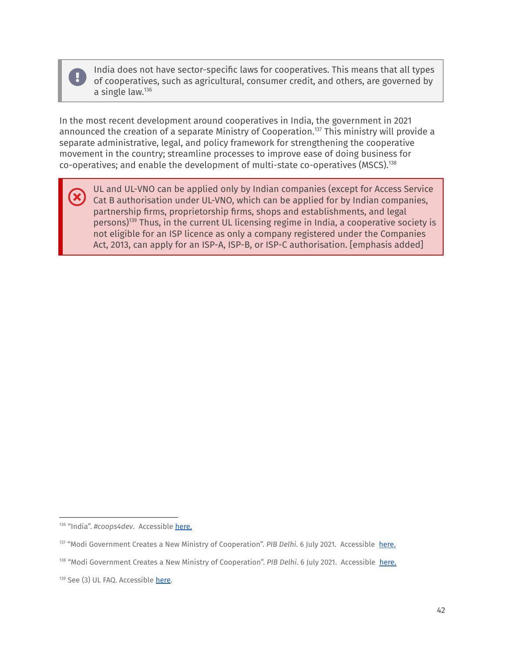×

India does not have sector-specific laws for cooperatives. This means that all types of cooperatives, such as agricultural, consumer credit, and others, are governed by a single law. 136

In the most recent development around cooperatives in India, the government in 2021 announced the creation of a separate Ministry of Cooperation.<sup>137</sup> This ministry will provide a separate administrative, legal, and policy framework for strengthening the cooperative movement in the country; streamline processes to improve ease of doing business for co-operatives; and enable the development of multi-state co-operatives (MSCS). 138

UL and UL-VNO can be applied only by Indian companies (except for Access Service Cat B authorisation under UL-VNO, which can be applied for by Indian companies, partnership firms, proprietorship firms, shops and establishments, and legal persons)<sup>139</sup> Thus, in the current UL licensing regime in India, a cooperative society is not eligible for an ISP licence as only a company registered under the Companies Act, 2013, can apply for an ISP-A, ISP-B, or ISP-C authorisation. [emphasis added]

<sup>136 &</sup>quot;India". #coops4dev. Accessible [here.](https://coops4dev.coop/en/4devasia/india)

<sup>137 &</sup>quot;Modi Government Creates a New Ministry of Cooperation". PIB Delhi. 6 July 2021. Accessible [here.](https://pib.gov.in/PressReleasePage.aspx?PRID=1733225)

<sup>138 &</sup>quot;Modi Government Creates a New Ministry of Cooperation". PIB Delhi. 6 July 2021. Accessible [here](https://pib.gov.in/PressReleasePage.aspx?PRID=1733225).

<sup>139</sup> See (3) UL FAQ. Accessible [here](https://saralsanchar.gov.in/circular/licenses_issued/UL_FAQ.pdf).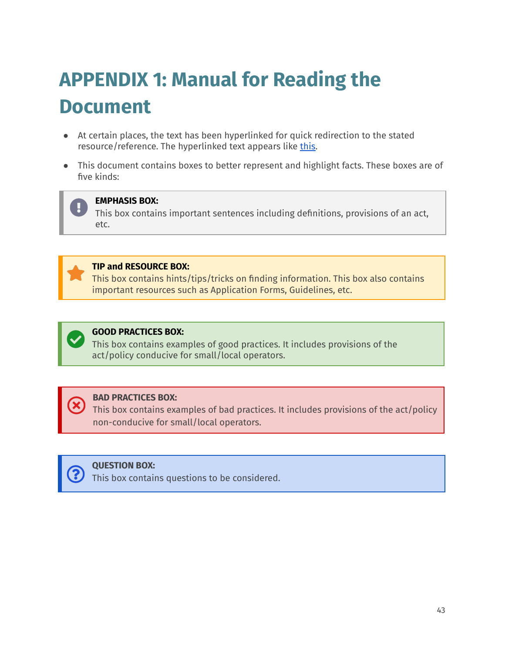# <span id="page-42-0"></span>**APPENDIX 1: Manual for Reading the Document**

- At certain places, the text has been hyperlinked for quick redirection to the stated resource/reference. The hyperlinked text appears like this.
- This document contains boxes to better represent and highlight facts. These boxes are of five kinds:



#### **EMPHASIS BOX:**

This box contains important sentences including definitions, provisions of an act, etc.



#### **TIP and RESOURCE BOX:**

This box contains hints/tips/tricks on finding information. This box also contains important resources such as Application Forms, Guidelines, etc.



### **GOOD PRACTICES BOX:**

This box contains examples of good practices. It includes provisions of the act/policy conducive for small/local operators.



#### **BAD PRACTICES BOX:**

This box contains examples of bad practices. It includes provisions of the act/policy non-conducive for small/local operators.



This box contains questions to be considered.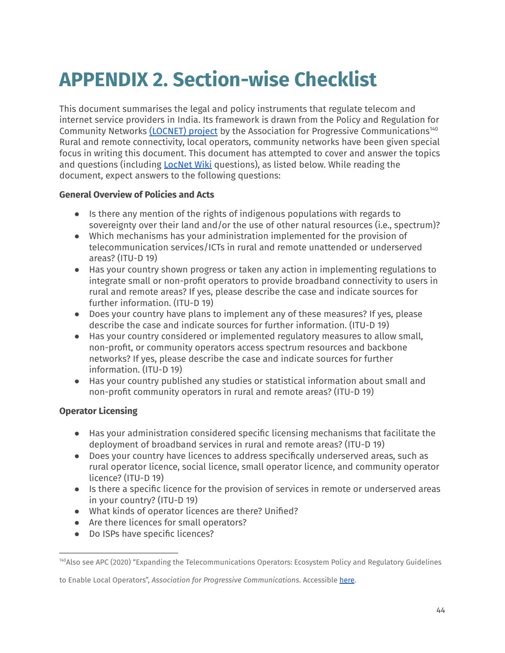# <span id="page-43-0"></span>**APPENDIX 2. Section-wise Checklist**

This document summarises the legal and policy instruments that regulate telecom and internet service providers in India. Its framework is drawn from the Policy and Regulation for Community Networks [\(LOCNET\)](https://policy.communitynetworks.group/enabling-regulation/overview) project by the Association for Progressive Communications<sup>140</sup> Rural and remote connectivity, local operators, community networks have been given special focus in writing this document. This document has attempted to cover and answer the topics and questions (including [LocNet](https://policy.communitynetworks.group/country-profiles/start) Wiki questions), as listed below. While reading the document, expect answers to the following questions:

### **General Overview of Policies and Acts**

- Is there any mention of the rights of indigenous populations with regards to sovereignty over their land and/or the use of other natural resources (i.e., spectrum)?
- Which mechanisms has your administration implemented for the provision of telecommunication services/ICTs in rural and remote unattended or underserved areas? (ITU-D 19)
- Has your country shown progress or taken any action in implementing regulations to integrate small or non-profit operators to provide broadband connectivity to users in rural and remote areas? If yes, please describe the case and indicate sources for further information. (ITU-D 19)
- Does your country have plans to implement any of these measures? If yes, please describe the case and indicate sources for further information. (ITU-D 19)
- Has your country considered or implemented regulatory measures to allow small, non-profit, or community operators access spectrum resources and backbone networks? If yes, please describe the case and indicate sources for further information. (ITU-D 19)
- Has your country published any studies or statistical information about small and non-profit community operators in rural and remote areas? (ITU-D 19)

### **Operator Licensing**

- Has your administration considered specific licensing mechanisms that facilitate the deployment of broadband services in rural and remote areas? (ITU-D 19)
- Does your country have licences to address specifically underserved areas, such as rural operator licence, social licence, small operator licence, and community operator licence? (ITU-D 19)
- Is there a specific licence for the provision of services in remote or underserved areas in your country? (ITU-D 19)
- What kinds of operator licences are there? Unified?
- Are there licences for small operators?
- Do ISPs have specific licences?

<sup>140</sup>Also see APC (2020) "Expanding the Telecommunications Operators: Ecosystem Policy and Regulatory Guidelines

to Enable Local Operators", *Association for Progressive Communications*. Accessible [here](https://www.apc.org/sites/default/files/APC_R1_ExpandingTelecommunication_OK.pdf).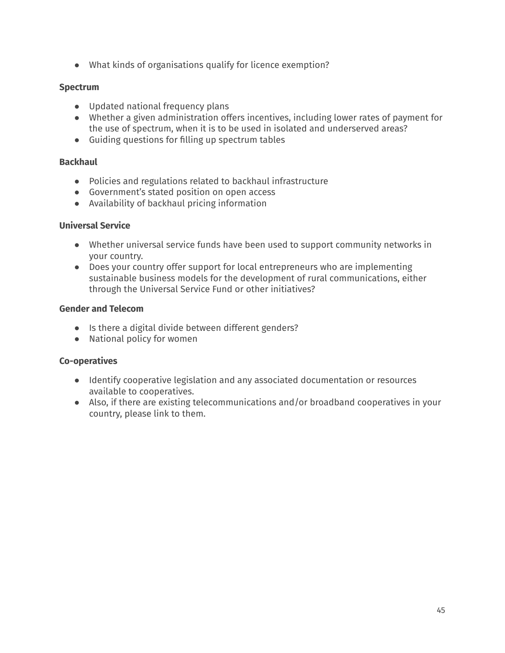● What kinds of organisations qualify for licence exemption?

### **Spectrum**

- Updated national frequency plans
- Whether a given administration offers incentives, including lower rates of payment for the use of spectrum, when it is to be used in isolated and underserved areas?
- Guiding questions for filling up spectrum tables

### **Backhaul**

- Policies and regulations related to backhaul infrastructure
- Government's stated position on open access
- Availability of backhaul pricing information

### **Universal Service**

- Whether universal service funds have been used to support community networks in your country.
- Does your country offer support for local entrepreneurs who are implementing sustainable business models for the development of rural communications, either through the Universal Service Fund or other initiatives?

### **Gender and Telecom**

- Is there a digital divide between different genders?
- National policy for women

### **Co-operatives**

- Identify cooperative legislation and any associated documentation or resources available to cooperatives.
- Also, if there are existing telecommunications and/or broadband cooperatives in your country, please link to them.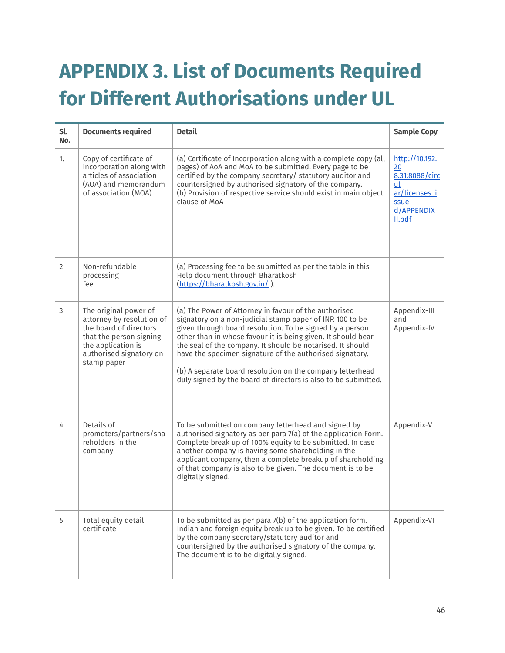# <span id="page-45-0"></span>**APPENDIX 3. List of Documents Required for Different Authorisations under UL**

| Sl.<br>No.     | <b>Documents required</b>                                                                                                                                               | <b>Detail</b>                                                                                                                                                                                                                                                                                                                                                                                                                                                                                          | <b>Sample Copy</b>                                                                                   |
|----------------|-------------------------------------------------------------------------------------------------------------------------------------------------------------------------|--------------------------------------------------------------------------------------------------------------------------------------------------------------------------------------------------------------------------------------------------------------------------------------------------------------------------------------------------------------------------------------------------------------------------------------------------------------------------------------------------------|------------------------------------------------------------------------------------------------------|
| 1.             | Copy of certificate of<br>incorporation along with<br>articles of association<br>(AOA) and memorandum<br>of association (MOA)                                           | (a) Certificate of Incorporation along with a complete copy (all<br>pages) of AoA and MoA to be submitted. Every page to be<br>certified by the company secretary/ statutory auditor and<br>countersigned by authorised signatory of the company.<br>(b) Provision of respective service should exist in main object<br>clause of MoA                                                                                                                                                                  | http://10.192.<br>20<br>8.31:8088/circ<br>ul<br>ar/licenses_i<br>ssue<br>d/APPENDIX<br><b>Il.pdf</b> |
| 2              | Non-refundable<br>processing<br>fee                                                                                                                                     | (a) Processing fee to be submitted as per the table in this<br>Help document through Bharatkosh<br>(https://bharatkosh.gov.in/).                                                                                                                                                                                                                                                                                                                                                                       |                                                                                                      |
| $\mathfrak{Z}$ | The original power of<br>attorney by resolution of<br>the board of directors<br>that the person signing<br>the application is<br>authorised signatory on<br>stamp paper | (a) The Power of Attorney in favour of the authorised<br>signatory on a non-judicial stamp paper of INR 100 to be<br>given through board resolution. To be signed by a person<br>other than in whose favour it is being given. It should bear<br>the seal of the company. It should be notarised. It should<br>have the specimen signature of the authorised signatory.<br>(b) A separate board resolution on the company letterhead<br>duly signed by the board of directors is also to be submitted. | Appendix-III<br>and<br>Appendix-IV                                                                   |
| 4              | Details of<br>promoters/partners/sha<br>reholders in the<br>company                                                                                                     | To be submitted on company letterhead and signed by<br>authorised signatory as per para 7(a) of the application Form.<br>Complete break up of 100% equity to be submitted. In case<br>another company is having some shareholding in the<br>applicant company, then a complete breakup of shareholding<br>of that company is also to be given. The document is to be<br>digitally signed.                                                                                                              | Appendix-V                                                                                           |
| 5              | Total equity detail<br>certificate                                                                                                                                      | To be submitted as per para 7(b) of the application form.<br>Indian and foreign equity break up to be given. To be certified<br>by the company secretary/statutory auditor and<br>countersigned by the authorised signatory of the company.<br>The document is to be digitally signed.                                                                                                                                                                                                                 | Appendix-VI                                                                                          |